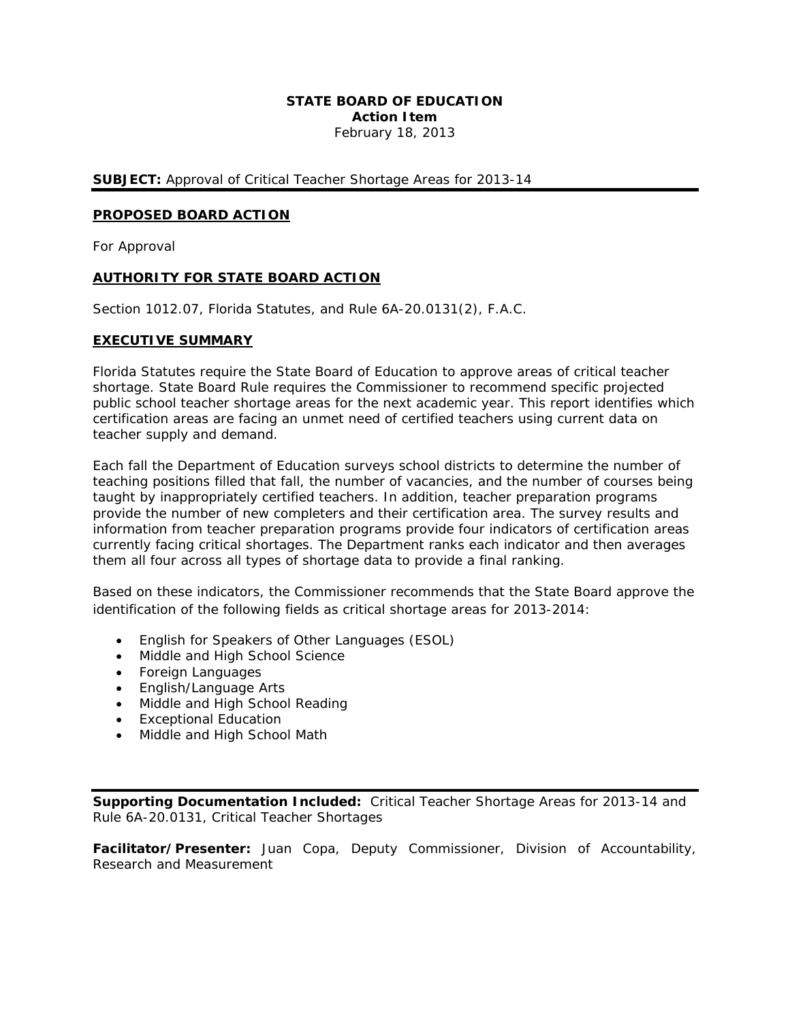#### **STATE BOARD OF EDUCATION Action Item**  February 18, 2013

**SUBJECT:** Approval of Critical Teacher Shortage Areas for 2013-14

#### **PROPOSED BOARD ACTION**

For Approval

## **AUTHORITY FOR STATE BOARD ACTION**

Section 1012.07, Florida Statutes, and Rule 6A-20.0131(2), F.A.C.

#### **EXECUTIVE SUMMARY**

Florida Statutes require the State Board of Education to approve areas of critical teacher shortage. State Board Rule requires the Commissioner to recommend specific projected public school teacher shortage areas for the next academic year. This report identifies which certification areas are facing an unmet need of certified teachers using current data on teacher supply and demand.

them all four across all types of shortage data to provide a final ranking. Each fall the Department of Education surveys school districts to determine the number of teaching positions filled that fall, the number of vacancies, and the number of courses being taught by inappropriately certified teachers. In addition, teacher preparation programs provide the number of new completers and their certification area. The survey results and information from teacher preparation programs provide four indicators of certification areas currently facing critical shortages. The Department ranks each indicator and then averages

Based on these indicators, the Commissioner recommends that the State Board approve the identification of the following fields as critical shortage areas for 2013-2014:

- English for Speakers of Other Languages (ESOL)
- Middle and High School Science
- Foreign Languages
- English/Language Arts
- Middle and High School Reading
- Exceptional Education
- Middle and High School Math

**Supporting Documentation Included:** Critical Teacher Shortage Areas for 2013-14 and Rule 6A-20.0131, Critical Teacher Shortages

**Facilitator/Presenter:** Juan Copa, Deputy Commissioner, Division of Accountability, Research and Measurement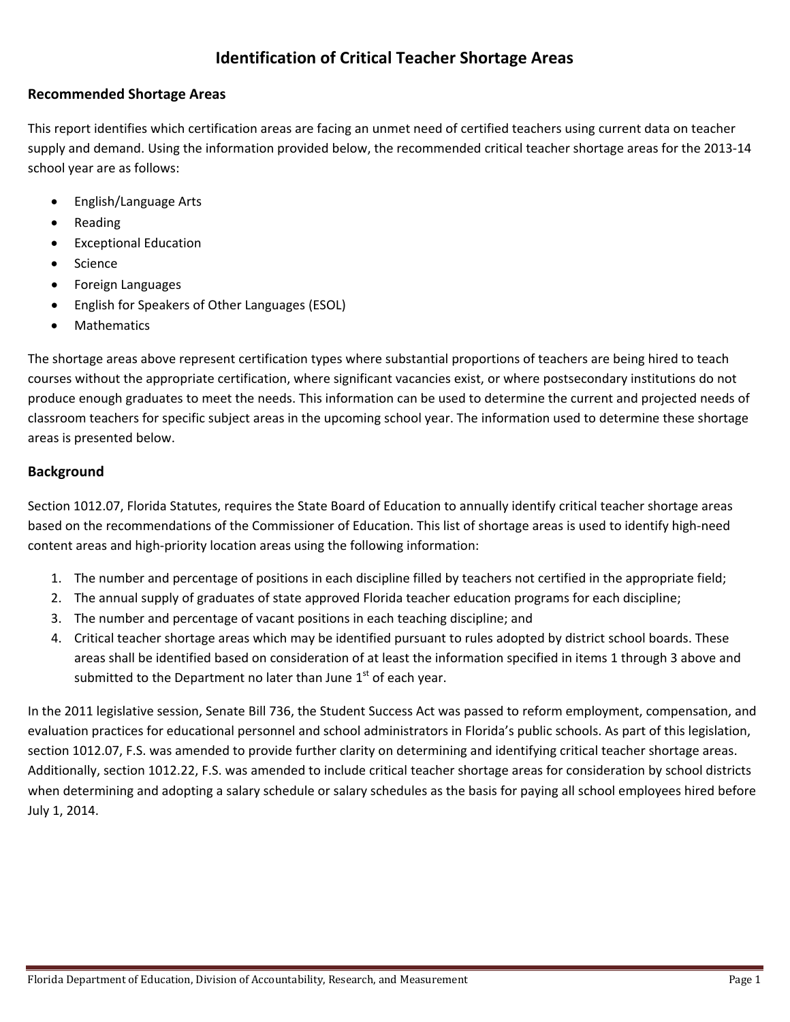# **Identification of Critical Teacher Shortage Areas**

# **Recommended Shortage Areas**

 This report identifies which certification areas are facing an unmet need of certified teachers using current data on teacher supply and demand. Using the information provided below, the recommended critical teacher shortage areas for the 2013‐14 school year are as follows:

- • English/Language Arts
- • Reading
- • Exceptional Education
- • Science
- • Foreign Languages
- • English for Speakers of Other Languages (ESOL)
- • Mathematics

 The shortage areas above represent certification types where substantial proportions of teachers are being hired to teach courses without the appropriate certification, where significant vacancies exist, or where postsecondary institutions do not produce enough graduates to meet the needs. This information can be used to determine the current and projected needs of classroom teachers for specific subject areas in the upcoming school year. The information used to determine these shortage areas is presented below.

# **Background**

 Section 1012.07, Florida Statutes, requires the State Board of Education to annually identify critical teacher shortage areas based on the recommendations of the Commissioner of Education. This list of shortage areas is used to identify high‐need content areas and high‐priority location areas using the following information:

- 1. The number and percentage of positions in each discipline filled by teachers not certified in the appropriate field;
- 2. The annual supply of graduates of state approved Florida teacher education programs for each discipline;
- 3. The number and percentage of vacant positions in each teaching discipline; and
- 4. Critical teacher shortage areas which may be identified pursuant to rules adopted by district school boards. These areas shall be identified based on consideration of at least the information specified in items 1 through 3 above and submitted to the Department no later than June  $1<sup>st</sup>$  of each year.

 In the 2011 legislative session, Senate Bill 736, the Student Success Act was passed to reform employment, compensation, and evaluation practices for educational personnel and school administrators in Florida's public schools. As part of this legislation, section 1012.07, F.S. was amended to provide further clarity on determining and identifying critical teacher shortage areas. Additionally, section 1012.22, F.S. was amended to include critical teacher shortage areas for consideration by school districts when determining and adopting a salary schedule or salary schedules as the basis for paying all school employees hired before July 1, 2014.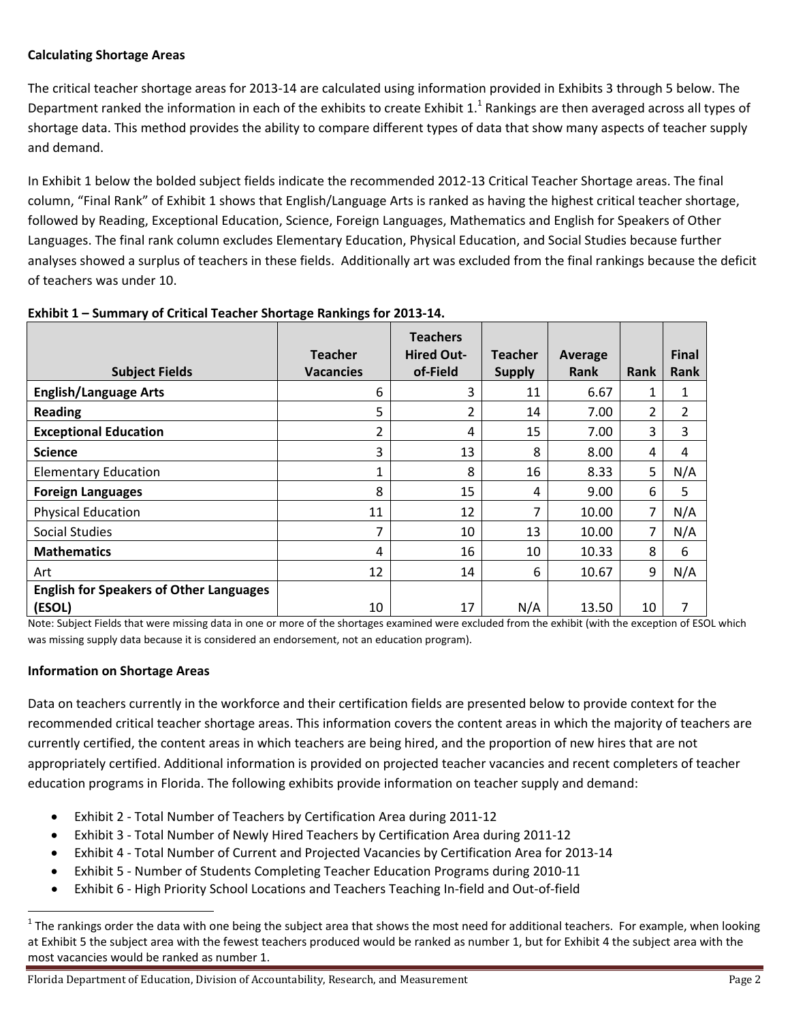# **Calculating Shortage Areas**

 The critical teacher shortage areas for 2013‐14 are calculated using information provided in Exhibits 3 through 5 below. The Department ranked the information in each of the exhibits to create Exhibit 1.<sup>1</sup> Rankings are then averaged across all types of shortage data. This method provides the ability to compare different types of data that show many aspects of teacher supply and demand.

 In Exhibit 1 below the bolded subject fields indicate the recommended 2012‐13 Critical Teacher Shortage areas. The final column, "Final Rank" of Exhibit 1 shows that English/Language Arts is ranked as having the highest critical teacher shortage, followed by Reading, Exceptional Education, Science, Foreign Languages, Mathematics and English for Speakers of Other Languages. The final rank column excludes Elementary Education, Physical Education, and Social Studies because further analyses showed a surplus of teachers in these fields. Additionally art was excluded from the final rankings because the deficit of teachers was under 10.

| <b>Subject Fields</b>                          | <b>Teacher</b><br><b>Vacancies</b> | <b>Teachers</b><br><b>Hired Out-</b><br>of-Field | <b>Teacher</b><br><b>Supply</b> | Average<br><b>Rank</b> | Rank | <b>Final</b><br><b>Rank</b> |
|------------------------------------------------|------------------------------------|--------------------------------------------------|---------------------------------|------------------------|------|-----------------------------|
| <b>English/Language Arts</b>                   | 6                                  | 3                                                | 11                              | 6.67                   |      | 1                           |
| <b>Reading</b>                                 | 5                                  | 2                                                | 14                              | 7.00                   | 2    | 2                           |
| <b>Exceptional Education</b>                   | 2                                  | 4                                                | 15                              | 7.00                   | 3    | 3                           |
| <b>Science</b>                                 | 3                                  | 13                                               | 8                               | 8.00                   | 4    | 4                           |
| <b>Elementary Education</b>                    | 1                                  | 8                                                | 16                              | 8.33                   | 5    | N/A                         |
| <b>Foreign Languages</b>                       | 8                                  | 15                                               | 4                               | 9.00                   | 6    | 5                           |
| <b>Physical Education</b>                      | 11                                 | 12                                               | 7                               | 10.00                  | 7    | N/A                         |
| <b>Social Studies</b>                          | 7                                  | 10                                               | 13                              | 10.00                  | 7    | N/A                         |
| <b>Mathematics</b>                             | 4                                  | 16                                               | 10                              | 10.33                  | 8    | 6                           |
| Art                                            | 12                                 | 14                                               | 6                               | 10.67                  | 9    | N/A                         |
| <b>English for Speakers of Other Languages</b> |                                    |                                                  |                                 |                        |      |                             |
| (ESOL)                                         | 10                                 | 17                                               | N/A                             | 13.50                  | 10   | 7                           |

## **Exhibit 1 – Summary of Critical Teacher Shortage Rankings for 2013‐14.**

 Note: Subject Fields that were missing data in one or more of the shortages examined were excluded from the exhibit (with the exception of ESOL which was missing supply data because it is considered an endorsement, not an education program).

# **Information on Shortage Areas**

 Data on teachers currently in the workforce and their certification fields are presented below to provide context for the recommended critical teacher shortage areas. This information covers the content areas in which the majority of teachers are currently certified, the content areas in which teachers are being hired, and the proportion of new hires that are not appropriately certified. Additional information is provided on projected teacher vacancies and recent completers of teacher education programs in Florida. The following exhibits provide information on teacher supply and demand:

- Exhibit 2 ‐ Total Number of Teachers by Certification Area during 2011‐12
- Exhibit 3 ‐ Total Number of Newly Hired Teachers by Certification Area during 2011‐12
- Exhibit 4 ‐ Total Number of Current and Projected Vacancies by Certification Area for 2013‐14
- Exhibit 5 ‐ Number of Students Completing Teacher Education Programs during 2010‐11
- Exhibit 6 ‐ High Priority School Locations and Teachers Teaching In‐field and Out‐of‐field

 $^1$  The rankings order the data with one being the subject area that shows the most need for additional teachers. For example, when looking at Exhibit 5 the subject area with the fewest teachers produced would be ranked as number 1, but for Exhibit 4 the subject area with the most vacancies would be ranked as number 1.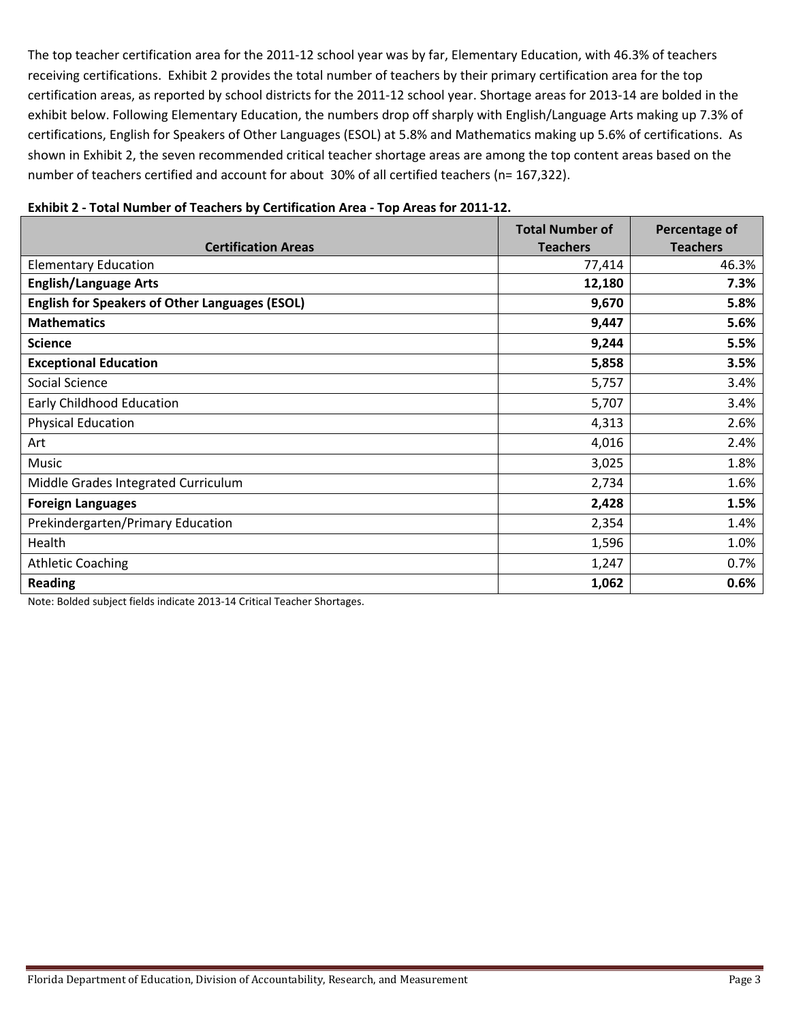The top teacher certification area for the 2011‐12 school year was by far, Elementary Education, with 46.3% of teachers receiving certifications. Exhibit 2 provides the total number of teachers by their primary certification area for the top certification areas, as reported by school districts for the 2011‐12 school year. Shortage areas for 2013‐14 are bolded in the exhibit below. Following Elementary Education, the numbers drop off sharply with English/Language Arts making up 7.3% of certifications, English for Speakers of Other Languages (ESOL) at 5.8% and Mathematics making up 5.6% of certifications. As shown in Exhibit 2, the seven recommended critical teacher shortage areas are among the top content areas based on the number of teachers certified and account for about 30% of all certified teachers (n= 167,322).

| <b>Certification Areas</b>                                                                                                                                                                                      | <b>Total Number of</b><br><b>Teachers</b> | Percentage of<br><b>Teachers</b> |
|-----------------------------------------------------------------------------------------------------------------------------------------------------------------------------------------------------------------|-------------------------------------------|----------------------------------|
| <b>Elementary Education</b>                                                                                                                                                                                     | 77,414                                    | 46.3%                            |
| <b>English/Language Arts</b>                                                                                                                                                                                    | 12,180                                    | 7.3%                             |
| <b>English for Speakers of Other Languages (ESOL)</b>                                                                                                                                                           | 9,670                                     | 5.8%                             |
| <b>Mathematics</b>                                                                                                                                                                                              | 9,447                                     | 5.6%                             |
| <b>Science</b>                                                                                                                                                                                                  | 9,244                                     | 5.5%                             |
| <b>Exceptional Education</b>                                                                                                                                                                                    | 5,858                                     | 3.5%                             |
| Social Science                                                                                                                                                                                                  | 5,757                                     | 3.4%                             |
| Early Childhood Education                                                                                                                                                                                       | 5,707                                     | 3.4%                             |
| <b>Physical Education</b>                                                                                                                                                                                       | 4,313                                     | 2.6%                             |
| Art                                                                                                                                                                                                             | 4,016                                     | 2.4%                             |
| Music                                                                                                                                                                                                           | 3,025                                     | 1.8%                             |
| Middle Grades Integrated Curriculum                                                                                                                                                                             | 2,734                                     | 1.6%                             |
| <b>Foreign Languages</b>                                                                                                                                                                                        | 2,428                                     | 1.5%                             |
| Prekindergarten/Primary Education                                                                                                                                                                               | 2,354                                     | 1.4%                             |
| Health                                                                                                                                                                                                          | 1,596                                     | 1.0%                             |
| <b>Athletic Coaching</b>                                                                                                                                                                                        | 1,247                                     | 0.7%                             |
| <b>Reading</b>                                                                                                                                                                                                  | 1,062                                     | 0.6%                             |
| $\mathbf{A}$ and $\mathbf{B}$ and $\mathbf{A}$ are the set $\mathbf{B}$ and $\mathbf{B}$ and $\mathbf{A}$ and $\mathbf{A}$ and $\mathbf{B}$ are $\mathbf{B}$ and $\mathbf{B}$ are $\mathbf{B}$ and $\mathbf{B}$ |                                           |                                  |

# Exhibit 2 - Total Number of Teachers by Certification Area - Top Areas for 2011-12.

Note: Bolded subject fields indicate 2013‐14 Critical Teacher Shortages.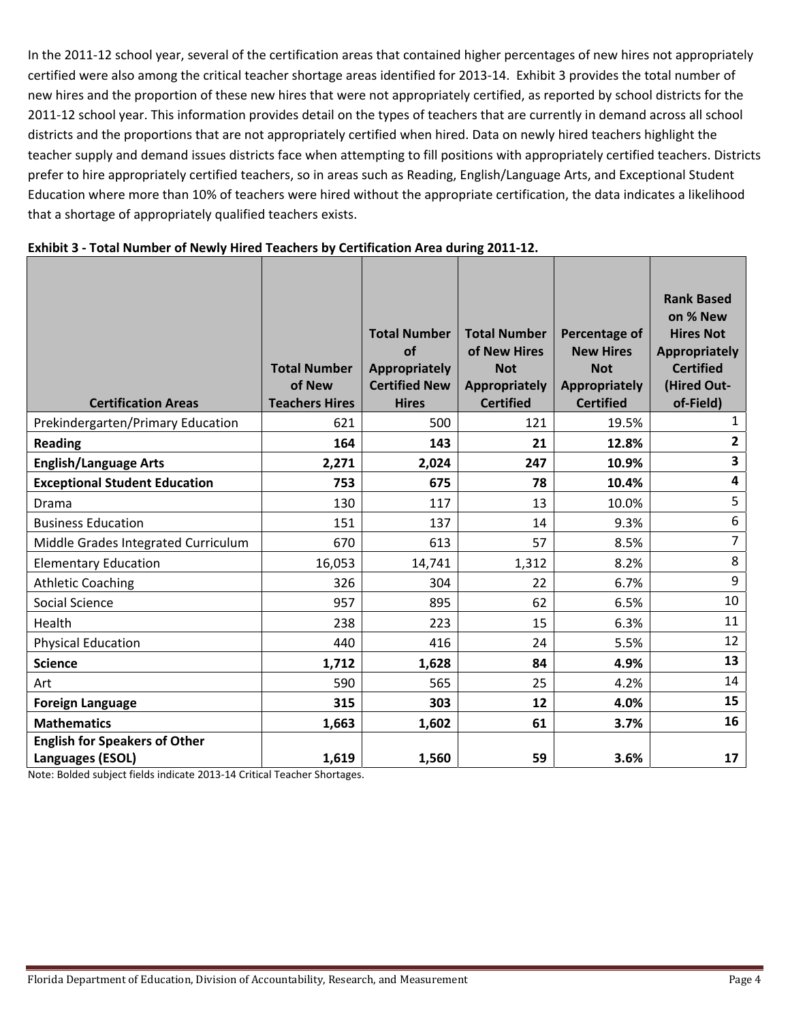In the 2011‐12 school year, several of the certification areas that contained higher percentages of new hires not appropriately certified were also among the critical teacher shortage areas identified for 2013‐14. Exhibit 3 provides the total number of new hires and the proportion of these new hires that were not appropriately certified, as reported by school districts for the 2011‐12 school year. This information provides detail on the types of teachers that are currently in demand across all school districts and the proportions that are not appropriately certified when hired. Data on newly hired teachers highlight the teacher supply and demand issues districts face when attempting to fill positions with appropriately certified teachers. Districts prefer to hire appropriately certified teachers, so in areas such as Reading, English/Language Arts, and Exceptional Student Education where more than 10% of teachers were hired without the appropriate certification, the data indicates a likelihood that a shortage of appropriately qualified teachers exists.

| <b>Certification Areas</b>                                                                                                          | <b>Total Number</b><br>of New<br><b>Teachers Hires</b> | <b>Total Number</b><br>of<br>Appropriately<br><b>Certified New</b><br><b>Hires</b> | <b>Total Number</b><br>of New Hires<br><b>Not</b><br>Appropriately<br><b>Certified</b> | Percentage of<br><b>New Hires</b><br><b>Not</b><br>Appropriately<br><b>Certified</b> | <b>Rank Based</b><br>on % New<br><b>Hires Not</b><br><b>Appropriately</b><br><b>Certified</b><br>(Hired Out-<br>of-Field) |
|-------------------------------------------------------------------------------------------------------------------------------------|--------------------------------------------------------|------------------------------------------------------------------------------------|----------------------------------------------------------------------------------------|--------------------------------------------------------------------------------------|---------------------------------------------------------------------------------------------------------------------------|
| Prekindergarten/Primary Education                                                                                                   | 621                                                    | 500                                                                                | 121                                                                                    | 19.5%                                                                                | $\mathbf{1}$                                                                                                              |
| <b>Reading</b>                                                                                                                      | 164                                                    | 143                                                                                | 21                                                                                     | 12.8%                                                                                | $\mathbf{2}$                                                                                                              |
| <b>English/Language Arts</b>                                                                                                        | 2,271                                                  | 2,024                                                                              | 247                                                                                    | 10.9%                                                                                | 3                                                                                                                         |
| <b>Exceptional Student Education</b>                                                                                                | 753                                                    | 675                                                                                | 78                                                                                     | 10.4%                                                                                | 4                                                                                                                         |
| Drama                                                                                                                               | 130                                                    | 117                                                                                | 13                                                                                     | 10.0%                                                                                | 5                                                                                                                         |
| <b>Business Education</b>                                                                                                           | 151                                                    | 137                                                                                | 14                                                                                     | 9.3%                                                                                 | 6                                                                                                                         |
| Middle Grades Integrated Curriculum                                                                                                 | 670                                                    | 613                                                                                | 57                                                                                     | 8.5%                                                                                 | $\overline{7}$                                                                                                            |
| <b>Elementary Education</b>                                                                                                         | 16,053                                                 | 14,741                                                                             | 1,312                                                                                  | 8.2%                                                                                 | 8                                                                                                                         |
| <b>Athletic Coaching</b>                                                                                                            | 326                                                    | 304                                                                                | 22                                                                                     | 6.7%                                                                                 | 9                                                                                                                         |
| Social Science                                                                                                                      | 957                                                    | 895                                                                                | 62                                                                                     | 6.5%                                                                                 | 10                                                                                                                        |
| Health                                                                                                                              | 238                                                    | 223                                                                                | 15                                                                                     | 6.3%                                                                                 | 11                                                                                                                        |
| <b>Physical Education</b>                                                                                                           | 440                                                    | 416                                                                                | 24                                                                                     | 5.5%                                                                                 | 12                                                                                                                        |
| <b>Science</b>                                                                                                                      | 1,712                                                  | 1,628                                                                              | 84                                                                                     | 4.9%                                                                                 | 13                                                                                                                        |
| Art                                                                                                                                 | 590                                                    | 565                                                                                | 25                                                                                     | 4.2%                                                                                 | 14                                                                                                                        |
| <b>Foreign Language</b>                                                                                                             | 315                                                    | 303                                                                                | 12                                                                                     | 4.0%                                                                                 | 15                                                                                                                        |
| <b>Mathematics</b>                                                                                                                  | 1,663                                                  | 1,602                                                                              | 61                                                                                     | 3.7%                                                                                 | 16                                                                                                                        |
| <b>English for Speakers of Other</b><br>Languages (ESOL)<br>Note: Bolded subject fields indicate 2013-14 Critical Teacher Shortages | 1,619                                                  | 1,560                                                                              | 59                                                                                     | 3.6%                                                                                 | 17                                                                                                                        |

Note: Bolded subject fields indicate 2013‐14 Critical Teacher Shortages.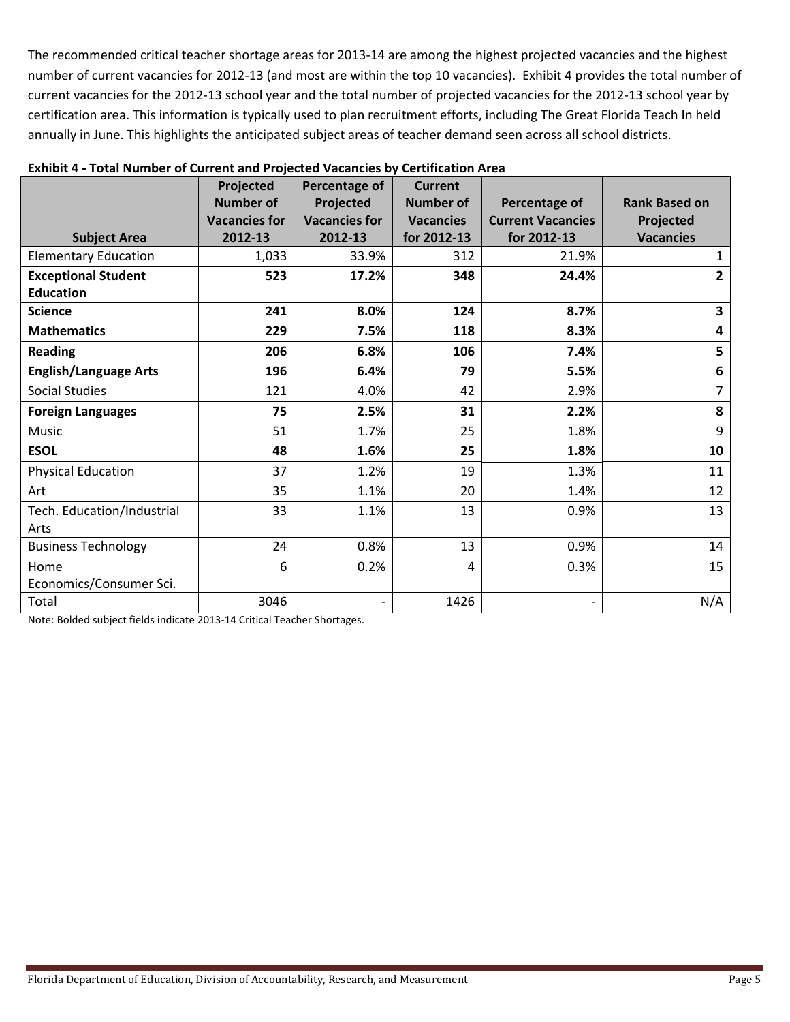The recommended critical teacher shortage areas for 2013‐14 are among the highest projected vacancies and the highest number of current vacancies for 2012‐13 (and most are within the top 10 vacancies). Exhibit 4 provides the total number of current vacancies for the 2012‐13 school year and the total number of projected vacancies for the 2012‐13 school year by certification area. This information is typically used to plan recruitment efforts, including The Great Florida Teach In held annually in June. This highlights the anticipated subject areas of teacher demand seen across all school districts.

|                                                                                                                 | Projected            | Percentage of                | <b>Current</b>   |                              |                      |
|-----------------------------------------------------------------------------------------------------------------|----------------------|------------------------------|------------------|------------------------------|----------------------|
|                                                                                                                 | <b>Number of</b>     | Projected                    | <b>Number of</b> | Percentage of                | <b>Rank Based on</b> |
|                                                                                                                 | <b>Vacancies for</b> | <b>Vacancies for</b>         | <b>Vacancies</b> | <b>Current Vacancies</b>     | Projected            |
| <b>Subject Area</b>                                                                                             | 2012-13              | 2012-13                      | for 2012-13      | for 2012-13                  | <b>Vacancies</b>     |
| <b>Elementary Education</b>                                                                                     | 1,033                | 33.9%                        | 312              | 21.9%                        | $\mathbf{1}$         |
| <b>Exceptional Student</b>                                                                                      | 523                  | 17.2%                        | 348              | 24.4%                        | $\overline{2}$       |
| <b>Education</b>                                                                                                |                      |                              |                  |                              |                      |
| <b>Science</b>                                                                                                  | 241                  | 8.0%                         | 124              | 8.7%                         | 3                    |
| <b>Mathematics</b>                                                                                              | 229                  | 7.5%                         | 118              | 8.3%                         | 4                    |
| <b>Reading</b>                                                                                                  | 206                  | 6.8%                         | 106              | 7.4%                         | 5                    |
| <b>English/Language Arts</b>                                                                                    | 196                  | 6.4%                         | 79               | 5.5%                         | $\boldsymbol{6}$     |
| <b>Social Studies</b>                                                                                           | 121                  | 4.0%                         | 42               | 2.9%                         | 7                    |
| <b>Foreign Languages</b>                                                                                        | 75                   | 2.5%                         | 31               | 2.2%                         | 8                    |
| <b>Music</b>                                                                                                    | 51                   | 1.7%                         | 25               | 1.8%                         | 9                    |
| <b>ESOL</b>                                                                                                     | 48                   | 1.6%                         | 25               | 1.8%                         | 10                   |
| <b>Physical Education</b>                                                                                       | 37                   | 1.2%                         | 19               | 1.3%                         | 11                   |
| Art                                                                                                             | 35                   | 1.1%                         | 20               | 1.4%                         | 12                   |
| Tech. Education/Industrial                                                                                      | 33                   | 1.1%                         | 13               | 0.9%                         | 13                   |
| Arts                                                                                                            |                      |                              |                  |                              |                      |
| <b>Business Technology</b>                                                                                      | 24                   | 0.8%                         | 13               | 0.9%                         | 14                   |
| Home                                                                                                            | 6                    | 0.2%                         | 4                | 0.3%                         | 15                   |
| Economics/Consumer Sci.                                                                                         |                      |                              |                  |                              |                      |
| Total<br>$M_{\odot}$ the Bodded column $R_{\odot}$ denote the direction $204.2$ detailed $\pm$ column beautiful | 3046                 | $\qquad \qquad \blacksquare$ | 1426             | $\qquad \qquad \blacksquare$ | N/A                  |

#### **Exhibit 4 ‐ Total Number of Current and Projected Vacancies by Certification Area**

Note: Bolded subject fields indicate 2013‐14 Critical Teacher Shortages.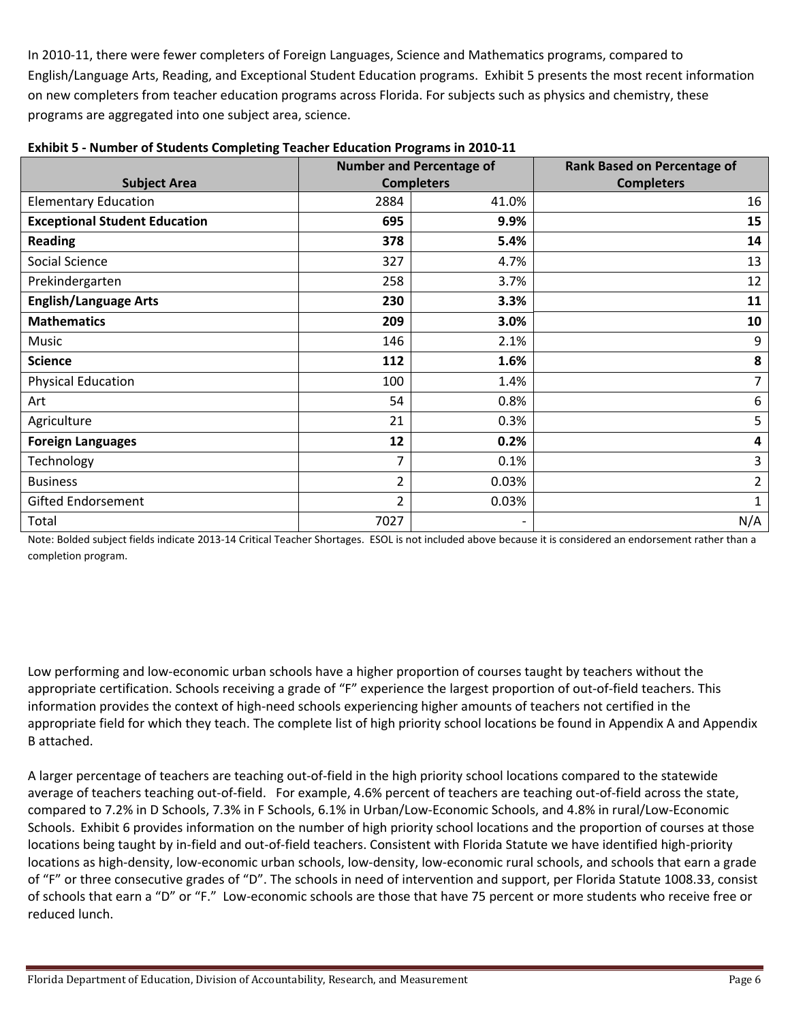In 2010‐11, there were fewer completers of Foreign Languages, Science and Mathematics programs, compared to English/Language Arts, Reading, and Exceptional Student Education programs. Exhibit 5 presents the most recent information on new completers from teacher education programs across Florida. For subjects such as physics and chemistry, these programs are aggregated into one subject area, science.

|                                      |                | <b>Number and Percentage of</b> | <b>Rank Based on Percentage of</b> |
|--------------------------------------|----------------|---------------------------------|------------------------------------|
| <b>Subject Area</b>                  |                | <b>Completers</b>               | <b>Completers</b>                  |
| <b>Elementary Education</b>          | 2884           | 41.0%                           | 16                                 |
| <b>Exceptional Student Education</b> | 695            | 9.9%                            | 15                                 |
| <b>Reading</b>                       | 378            | 5.4%                            | 14                                 |
| Social Science                       | 327            | 4.7%                            | 13                                 |
| Prekindergarten                      | 258            | 3.7%                            | 12                                 |
| <b>English/Language Arts</b>         | 230            | 3.3%                            | 11                                 |
| <b>Mathematics</b>                   | 209            | 3.0%                            | 10                                 |
| Music                                | 146            | 2.1%                            | 9                                  |
| <b>Science</b>                       | 112            | 1.6%                            | 8                                  |
| <b>Physical Education</b>            | 100            | 1.4%                            | $\overline{7}$                     |
| Art                                  | 54             | 0.8%                            | 6                                  |
| Agriculture                          | 21             | 0.3%                            | 5                                  |
| <b>Foreign Languages</b>             | 12             | 0.2%                            | 4                                  |
| Technology                           | $\overline{7}$ | 0.1%                            | 3                                  |
| <b>Business</b>                      | $\overline{2}$ | 0.03%                           | $\overline{2}$                     |
| <b>Gifted Endorsement</b>            | $\overline{2}$ | 0.03%                           | 1                                  |
| Total                                | 7027           | $\overline{\phantom{a}}$        | N/A                                |

## **Exhibit 5 ‐ Number of Students Completing Teacher Education Programs in 2010‐11**

 Note: Bolded subject fields indicate 2013‐14 Critical Teacher Shortages. ESOL is not included above because it is considered an endorsement rather than a completion program.

 Low performing and low‐economic urban schools have a higher proportion of courses taught by teachers without the appropriate certification. Schools receiving a grade of "F" experience the largest proportion of out‐of‐field teachers. This information provides the context of high‐need schools experiencing higher amounts of teachers not certified in the appropriate field for which they teach. The complete list of high priority school locations be found in Appendix A and Appendix B attached.

 A larger percentage of teachers are teaching out‐of‐field in the high priority school locations compared to the statewide average of teachers teaching out‐of‐field. For example, 4.6% percent of teachers are teaching out‐of‐field across the state, compared to 7.2% in D Schools, 7.3% in F Schools, 6.1% in Urban/Low‐Economic Schools, and 4.8% in rural/Low‐Economic Schools. Exhibit 6 provides information on the number of high priority school locations and the proportion of courses at those locations being taught by in‐field and out‐of‐field teachers. Consistent with Florida Statute we have identified high‐priority locations as high‐density, low‐economic urban schools, low‐density, low‐economic rural schools, and schools that earn a grade of "F" or three consecutive grades of "D". The schools in need of intervention and support, per Florida Statute 1008.33, consist of schools that earn a "D" or "F." Low‐economic schools are those that have 75 percent or more students who receive free or reduced lunch.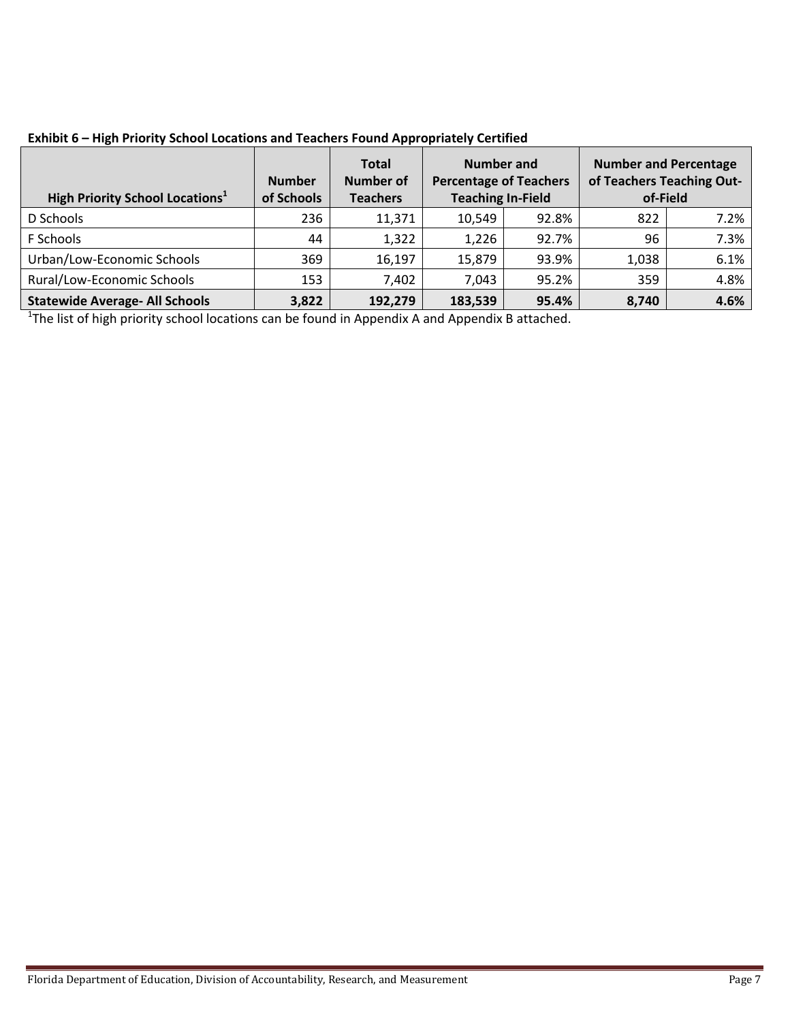| <b>High Priority School Locations</b> <sup>1</sup> | <b>Number</b><br>of Schools | <b>Total</b><br><b>Number of</b><br><b>Teachers</b> | Number and<br><b>Percentage of Teachers</b><br><b>Teaching In-Field</b> |       | <b>Number and Percentage</b><br>of Teachers Teaching Out-<br>of-Field |      |
|----------------------------------------------------|-----------------------------|-----------------------------------------------------|-------------------------------------------------------------------------|-------|-----------------------------------------------------------------------|------|
| D Schools                                          | 236                         | 11,371                                              | 10,549                                                                  | 92.8% | 822                                                                   | 7.2% |
| F Schools                                          | 44                          | 1,322                                               | 1,226                                                                   | 92.7% | 96                                                                    | 7.3% |
| Urban/Low-Economic Schools                         | 369                         | 16,197                                              | 15,879                                                                  | 93.9% | 1,038                                                                 | 6.1% |
| Rural/Low-Economic Schools                         | 153                         | 7,402                                               | 7.043                                                                   | 95.2% | 359                                                                   | 4.8% |
| <b>Statewide Average- All Schools</b>              | 3,822                       | 192,279                                             | 183,539                                                                 | 95.4% | 8,740                                                                 | 4.6% |

 **Exhibit 6 – High Priority School Locations and Teachers Found Appropriately Certified**

<sup>1</sup>The list of high priority school locations can be found in Appendix A and Appendix B attached.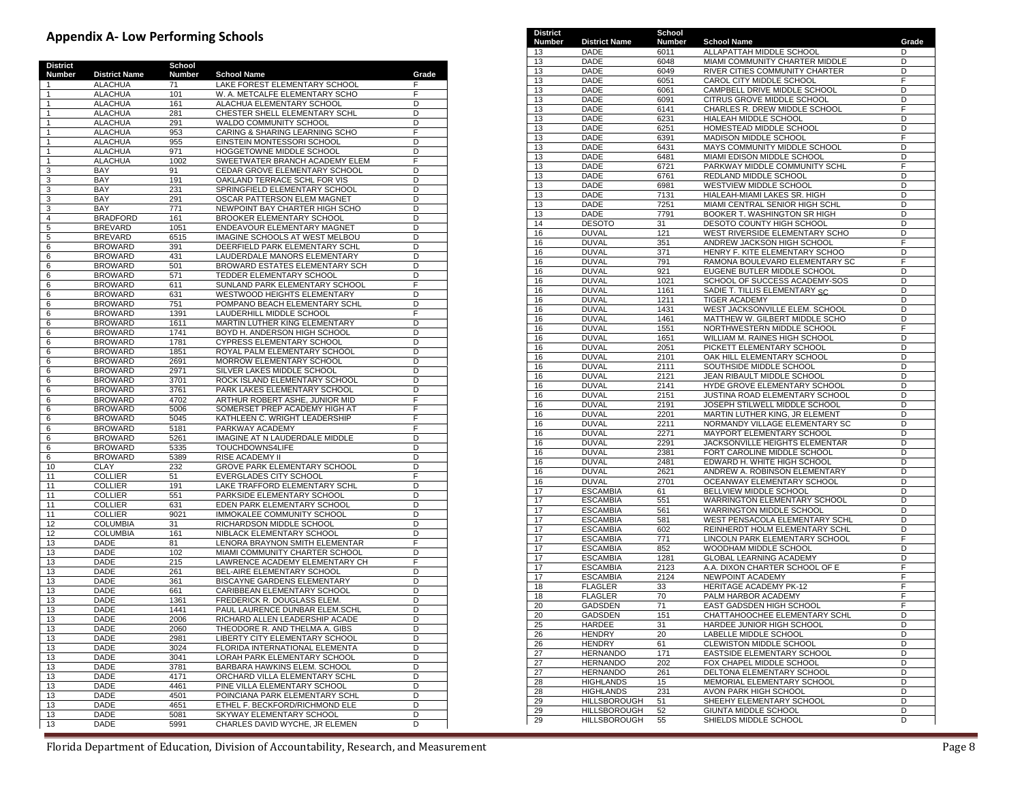#### **Appendix A‐ Low Performing Schools**

| <b>District</b> |                                  | School       |                                                                  |        |
|-----------------|----------------------------------|--------------|------------------------------------------------------------------|--------|
| Number          | <b>District Name</b>             | Number       | <b>School Name</b>                                               | Grade  |
| 1               | <b>ALACHUA</b>                   | 71           | LAKE FOREST ELEMENTARY SCHOOL                                    | F      |
| 1               | <b>ALACHUA</b>                   | 101          | W. A. METCALFE ELEMENTARY SCHO                                   | F      |
| 1               | <b>ALACHUA</b>                   | 161          | ALACHUA ELEMENTARY SCHOOL                                        | D      |
| $\mathbf{1}$    | <b>ALACHUA</b>                   | 281          | CHESTER SHELL ELEMENTARY SCHL                                    | D      |
| 1               | <b>ALACHUA</b>                   | 291          | WALDO COMMUNITY SCHOOL                                           | D      |
| 1               | <b>ALACHUA</b>                   | 953          | CARING & SHARING LEARNING SCHO                                   | F<br>D |
| 1<br>1          | <b>ALACHUA</b><br><b>ALACHUA</b> | 955<br>971   | EINSTEIN MONTESSORI SCHOOL<br>HOGGETOWNE MIDDLE SCHOOL           | D      |
| 1               | <b>ALACHUA</b>                   | 1002         |                                                                  | F      |
| 3               | BAY                              | 91           | SWEETWATER BRANCH ACADEMY ELEM<br>CEDAR GROVE ELEMENTARY SCHOOL  | D      |
| 3               | BAY                              | 191          | OAKLAND TERRACE SCHL FOR VIS                                     | D      |
| 3               | BAY                              | 231          | SPRINGFIELD ELEMENTARY SCHOOL                                    | D      |
| 3               | <b>BAY</b>                       | 291          | OSCAR PATTERSON ELEM MAGNET                                      | D      |
| 3               | <b>BAY</b>                       | 771          | NEWPOINT BAY CHARTER HIGH SCHO                                   | D      |
| 4               | <b>BRADFORD</b>                  | 161          | BROOKER ELEMENTARY SCHOOL                                        | D      |
| 5               | <b>BREVARD</b>                   | 1051         | ENDEAVOUR ELEMENTARY MAGNET                                      | D      |
| 5               | <b>BREVARD</b>                   | 6515         | IMAGINE SCHOOLS AT WEST MELBOU                                   | D      |
| 6               | <b>BROWARD</b>                   | 391          | DEERFIELD PARK ELEMENTARY SCHL                                   | D      |
| 6               | <b>BROWARD</b>                   | 431          | LAUDERDALE MANORS ELEMENTARY                                     | D      |
| 6               | <b>BROWARD</b>                   | 501          | BROWARD ESTATES ELEMENTARY SCH                                   | D      |
| 6               | <b>BROWARD</b>                   | 571          | TEDDER ELEMENTARY SCHOOL                                         | D      |
| 6               | <b>BROWARD</b>                   | 611          | SUNLAND PARK ELEMENTARY SCHOOL                                   | F      |
| 6               | <b>BROWARD</b>                   | 631          | WESTWOOD HEIGHTS ELEMENTARY                                      | D      |
| 6               | <b>BROWARD</b>                   | 751          | POMPANO BEACH ELEMENTARY SCHL                                    | D      |
| 6               | <b>BROWARD</b>                   | 1391         | LAUDERHILL MIDDLE SCHOOL                                         | F      |
| 6               | <b>BROWARD</b>                   | 1611         | MARTIN LUTHER KING ELEMENTARY                                    | D      |
| 6               | <b>BROWARD</b>                   | 1741         | BOYD H. ANDERSON HIGH SCHOOL                                     | D      |
| 6               | <b>BROWARD</b>                   | 1781         | CYPRESS ELEMENTARY SCHOOL                                        | D      |
| 6               | <b>BROWARD</b>                   | 1851         | ROYAL PALM ELEMENTARY SCHOOL                                     | D      |
| 6               | <b>BROWARD</b>                   | 2691<br>2971 | MORROW ELEMENTARY SCHOOL                                         | D<br>D |
| 6<br>6          | <b>BROWARD</b><br><b>BROWARD</b> | 3701         | SILVER LAKES MIDDLE SCHOOL<br>ROCK ISLAND ELEMENTARY SCHOOL      | D      |
| 6               | <b>BROWARD</b>                   | 3761         | PARK LAKES ELEMENTARY SCHOOL                                     | D      |
| 6               | <b>BROWARD</b>                   | 4702         | ARTHUR ROBERT ASHE, JUNIOR MID                                   | F      |
| 6               | <b>BROWARD</b>                   | 5006         | SOMERSET PREP ACADEMY HIGH AT                                    | F      |
| 6               | <b>BROWARD</b>                   | 5045         | KATHLEEN C. WRIGHT LEADERSHIP                                    | F      |
| 6               | <b>BROWARD</b>                   | 5181         | PARKWAY ACADEMY                                                  | F      |
| 6               | <b>BROWARD</b>                   | 5261         | IMAGINE AT N LAUDERDALE MIDDLE                                   | D      |
| 6               | <b>BROWARD</b>                   | 5335         | TOUCHDOWNS4LIFE                                                  | D      |
| 6               | <b>BROWARD</b>                   | 5389         | RISE ACADEMY II                                                  | D      |
| 10              | CLAY                             | 232          | GROVE PARK ELEMENTARY SCHOOL                                     | D      |
| 11              | <b>COLLIER</b>                   | 51           | <b>EVERGLADES CITY SCHOOL</b>                                    | F      |
| 11              | <b>COLLIER</b>                   | 191          | LAKE TRAFFORD ELEMENTARY SCHL                                    | D      |
| 11              | <b>COLLIER</b>                   | 551          | PARKSIDE ELEMENTARY SCHOOL                                       | D      |
| 11              | <b>COLLIER</b>                   | 631          | EDEN PARK ELEMENTARY SCHOOL                                      | D      |
| 11              | <b>COLLIER</b>                   | 9021         | IMMOKALEE COMMUNITY SCHOOL                                       | D      |
| 12              | COLUMBIA                         | 31           | RICHARDSON MIDDLE SCHOOL                                         | D      |
| 12              | <b>COLUMBIA</b>                  | 161          | NIBLACK ELEMENTARY SCHOOL                                        | D      |
| 13<br>13        | DADE<br><b>DADE</b>              | 81<br>102    | LENORA BRAYNON SMITH ELEMENTAR                                   | F<br>D |
| 13              | <b>DADE</b>                      | 215          | MIAMI COMMUNITY CHARTER SCHOOL<br>LAWRENCE ACADEMY ELEMENTARY CH | F      |
| 13              | DADE                             | 261          | BEL-AIRE ELEMENTARY SCHOOL                                       | D      |
| 13              | DADE                             | 361          | BISCAYNE GARDENS ELEMENTARY                                      | D      |
| 13              | DADE                             | 661          | CARIBBEAN ELEMENTARY SCHOOL                                      | D      |
| 13              | DADE                             | 1361         | FREDERICK R. DOUGLASS ELEM.                                      | D      |
| 13              | DADE                             | 1441         | PAUL LAURENCE DUNBAR ELEM.SCHL                                   | D      |
| 13              | DADE                             | 2006         | RICHARD ALLEN LEADERSHIP ACADE                                   | D      |
| 13              | <b>DADE</b>                      | 2060         | THEODORE R. AND THELMA A. GIBS                                   | D      |
| 13              | <b>DADE</b>                      | 2981         | LIBERTY CITY ELEMENTARY SCHOOL                                   | D      |
| 13              | <b>DADE</b>                      | 3024         | FLORIDA INTERNATIONAL ELEMENTA                                   | D      |
| 13              | DADE                             | 3041         | LORAH PARK ELEMENTARY SCHOOL                                     | D      |
| 13              | DADE                             | 3781         | BARBARA HAWKINS ELEM. SCHOOL                                     | D      |
| 13              | DADE                             | 4171         | ORCHARD VILLA ELEMENTARY SCHL                                    | D      |
| 13              | DADE                             | 4461         | PINE VILLA ELEMENTARY SCHOOL                                     | D      |
| 13              | <b>DADE</b>                      | 4501         | POINCIANA PARK ELEMENTARY SCHL                                   | D      |
| 13              | DADE                             | 4651         | ETHEL F. BECKFORD/RICHMOND ELE                                   | D      |
| 13              | DADE                             | 5081         | SKYWAY ELEMENTARY SCHOOL                                         | D      |
| 13              | DADE                             | 5991         | CHARLES DAVID WYCHE, JR ELEMEN                                   | D      |

| District<br>Number | <b>District Name</b>                       | School<br>Number | <b>School Name</b>                                               | Grade  |
|--------------------|--------------------------------------------|------------------|------------------------------------------------------------------|--------|
| 13                 | DADE                                       | 6011             | ALLAPATTAH MIDDLE SCHOOL                                         | D      |
| 13                 | DADE                                       | 6048             | MIAMI COMMUNITY CHARTER MIDDLE                                   | D      |
| 13                 | DADE                                       | 6049             | RIVER CITIES COMMUNITY CHARTER                                   | D      |
| 13                 | <b>DADE</b>                                | 6051             | CAROL CITY MIDDLE SCHOOL                                         | F      |
| 13                 | DADE                                       | 6061             | CAMPBELL DRIVE MIDDLE SCHOOL                                     | D      |
| 13<br>13           | DADE<br>DADE                               | 6091<br>6141     | CITRUS GROVE MIDDLE SCHOOL<br>CHARLES R. DREW MIDDLE SCHOOL      | D<br>F |
| 13                 | DADE                                       | 6231             | HIALEAH MIDDLE SCHOOL                                            | D      |
| 13                 | DADE                                       | 6251             | <b>HOMESTEAD MIDDLE SCHOOL</b>                                   | D      |
| 13                 | DADE                                       | 6391             | MADISON MIDDLE SCHOOL                                            | F      |
| 13                 | DADE                                       | 6431             | MAYS COMMUNITY MIDDLE SCHOOL                                     | D      |
| 13                 | DADE                                       | 6481             | MIAMI EDISON MIDDLE SCHOOL                                       | D      |
| 13                 | DADE                                       | 6721             | PARKWAY MIDDLE COMMUNITY SCHL                                    | F<br>D |
| 13<br>13           | DADE<br>DADE                               | 6761<br>6981     | REDLAND MIDDLE SCHOOL<br>WESTVIEW MIDDLE SCHOOL                  | D      |
| 13                 | DADE                                       | 7131             | HIALEAH-MIAMI LAKES SR. HIGH                                     | D      |
| 13                 | DADE                                       | 7251             | MIAMI CENTRAL SENIOR HIGH SCHL                                   | D      |
| 13                 | DADE                                       | 7791             | BOOKER T. WASHINGTON SR HIGH                                     | D      |
| 14                 | <b>DESOTO</b>                              | 31               | DESOTO COUNTY HIGH SCHOOL                                        | D      |
| 16                 | <b>DUVAL</b>                               | 121              | WEST RIVERSIDE ELEMENTARY SCHO                                   | D      |
| 16                 | <b>DUVAL</b>                               | 351              | ANDREW JACKSON HIGH SCHOOL                                       | F      |
| 16<br>16           | <b>DUVAL</b><br>DUVAL                      | 371<br>791       | HENRY F. KITE ELEMENTARY SCHOO<br>RAMONA BOULEVARD ELEMENTARY SC | D<br>F |
| 16                 | <b>DUVAL</b>                               | 921              | EUGENE BUTLER MIDDLE SCHOOL                                      | D      |
| 16                 | <b>DUVAL</b>                               | 1021             | SCHOOL OF SUCCESS ACADEMY-SOS                                    | D      |
| 16                 | <b>DUVAL</b>                               | 1161             | SADIE T. TILLIS ELEMENTARY SC                                    | D      |
| 16                 | <b>DUVAL</b>                               | 1211             | <b>TIGER ACADEMY</b>                                             | D      |
| 16                 | <b>DUVAL</b>                               | 1431             | WEST JACKSONVILLE ELEM. SCHOOL                                   | D      |
| 16                 | <b>DUVAL</b>                               | 1461             | MATTHEW W. GILBERT MIDDLE SCHO<br>NORTHWESTERN MIDDLE SCHOOL     | D<br>F |
| 16<br>16           | DUVAL<br><b>DUVAL</b>                      | 1551<br>1651     | WILLIAM M. RAINES HIGH SCHOOL                                    | D      |
| 16                 | <b>DUVAL</b>                               | 2051             | PICKETT ELEMENTARY SCHOOL                                        | D      |
| 16                 | <b>DUVAL</b>                               | 2101             | OAK HILL ELEMENTARY SCHOOL                                       | D      |
| 16                 | <b>DUVAL</b>                               | 2111             | SOUTHSIDE MIDDLE SCHOOL                                          | D      |
| 16                 | <b>DUVAL</b>                               | 2121             | JEAN RIBAULT MIDDLE SCHOOL                                       | D      |
| 16                 | <b>DUVAL</b>                               | 2141             | HYDE GROVE ELEMENTARY SCHOOL                                     | D      |
| 16<br>16           | <b>DUVAL</b><br>DUVAL                      | 2151             | JUSTINA ROAD ELEMENTARY SCHOOL<br>JOSEPH STILWELL MIDDLE SCHOOL  | D<br>D |
| 16                 | <b>DUVAL</b>                               | 2191<br>2201     | MARTIN LUTHER KING, JR ELEMENT                                   | D      |
| 16                 | <b>DUVAL</b>                               | 2211             | NORMANDY VILLAGE ELEMENTARY SC                                   | D      |
| 16                 | <b>DUVAL</b>                               | 2271             | MAYPORT ELEMENTARY SCHOOL                                        | D      |
| 16                 | <b>DUVAL</b>                               | 2291             | JACKSONVILLE HEIGHTS ELEMENTAR                                   | D      |
| 16                 | <b>DUVAL</b>                               | 2381             | FORT CAROLINE MIDDLE SCHOOL                                      | D      |
| 16                 | <b>DUVAL</b>                               | 2481             | EDWARD H. WHITE HIGH SCHOOL                                      | D      |
| 16                 | DUVAL<br><b>DUVAL</b>                      | 2621             | ANDREW A. ROBINSON ELEMENTARY<br>OCEANWAY ELEMENTARY SCHOOL      | D<br>D |
| 16<br>17           | <b>ESCAMBIA</b>                            | 2701<br>61       | BELLVIEW MIDDLE SCHOOL                                           | D      |
| 17                 | <b>ESCAMBIA</b>                            | 551              | WARRINGTON ELEMENTARY SCHOOL                                     | D      |
| 17                 | <b>ESCAMBIA</b>                            | 561              | <b>WARRINGTON MIDDLE SCHOOL</b>                                  | D      |
| 17                 | <b>ESCAMBIA</b>                            | 581              | WEST PENSACOLA ELEMENTARY SCHL                                   | D      |
| 17                 | <b>ESCAMBIA</b>                            | 602              | REINHERDT HOLM ELEMENTARY SCHL                                   | D      |
| 17                 | <b>ESCAMBIA</b>                            | 771              | LINCOLN PARK ELEMENTARY SCHOOL                                   | F      |
| 17<br>17           | <b>ESCAMBIA</b><br><b>ESCAMBIA</b>         | 852<br>1281      | WOODHAM MIDDLE SCHOOL<br><b>GLOBAL LEARNING ACADEMY</b>          | D<br>D |
| 17                 | <b>ESCAMBIA</b>                            | 2123             | A.A. DIXON CHARTER SCHOOL OF E                                   | F      |
| 17                 | <b>ESCAMBIA</b>                            | 2124             | NEWPOINT ACADEMY                                                 | F      |
| 18                 | <b>FLAGLER</b>                             | 33               | HERITAGE ACADEMY PK-12                                           | F      |
| 18                 | <b>FLAGLER</b>                             | 70               | PALM HARBOR ACADEMY                                              | F      |
| 20                 | <b>GADSDEN</b>                             | 71               | EAST GADSDEN HIGH SCHOOL                                         | F      |
| 20                 | GADSDEN                                    | 151              | CHATTAHOOCHEE ELEMENTARY SCHL                                    | D      |
| 25                 | HARDEE<br><b>HENDRY</b>                    | 31<br>20         | HARDEE JUNIOR HIGH SCHOOL                                        | D<br>D |
| 26<br>26           | <b>HENDRY</b>                              | 61               | LABELLE MIDDLE SCHOOL<br>CLEWISTON MIDDLE SCHOOL                 | D      |
| 27                 | <b>HERNANDO</b>                            | 171              | EASTSIDE ELEMENTARY SCHOOL                                       | D      |
| 27                 | <b>HERNANDO</b>                            | 202              | FOX CHAPEL MIDDLE SCHOOL                                         | D      |
| 27                 | <b>HERNANDO</b>                            | 261              | DELTONA ELEMENTARY SCHOOL                                        | D      |
| 28                 | <b>HIGHLANDS</b>                           | 15               | MEMORIAL ELEMENTARY SCHOOL                                       | D      |
| 28                 | <b>HIGHLANDS</b>                           | 231              | AVON PARK HIGH SCHOOL                                            | D      |
| 29<br>29           | <b>HILLSBOROUGH</b><br><b>HILLSBOROUGH</b> | 51<br>52         | SHEEHY ELEMENTARY SCHOOL<br>GIUNTA MIDDLE SCHOOL                 | D<br>D |
| 29                 | <b>HILLSBOROUGH</b>                        | 55               | SHIELDS MIDDLE SCHOOL                                            | D      |
|                    |                                            |                  |                                                                  |        |

Florida Department of Education, Division of Accountability, Research, and Measurement Page 8 (Page 8 ) and Measurement page 8 ) and Measurement page 8 (Page 8 ) and Measurement of Education, Division of Accountability, Re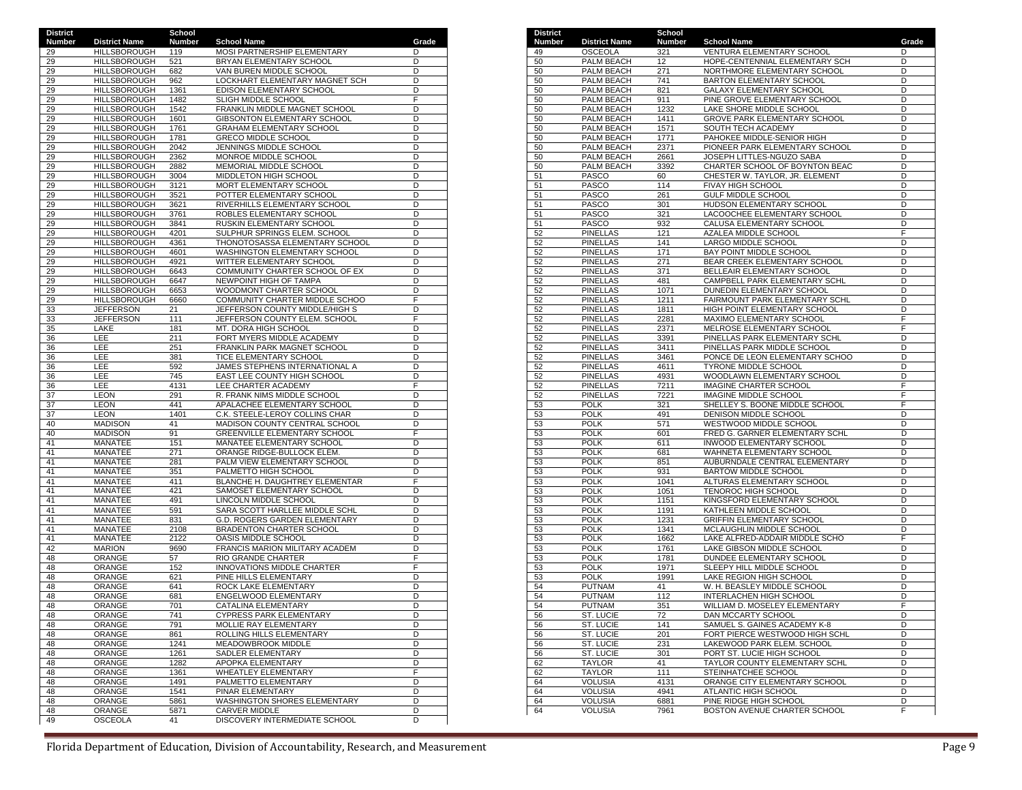| <b>District</b> |                                            | School        |                                                            |        |
|-----------------|--------------------------------------------|---------------|------------------------------------------------------------|--------|
| Number          | <b>District Name</b>                       | <b>Number</b> | <b>School Name</b>                                         | Grade  |
| 29<br>29        | <b>HILLSBOROUGH</b><br><b>HILLSBOROUGH</b> | 119<br>521    | MOSI PARTNERSHIP ELEMENTARY<br>BRYAN ELEMENTARY SCHOOL     | D<br>D |
| 29              | <b>HILLSBOROUGH</b>                        | 682           | VAN BUREN MIDDLE SCHOOL                                    | D      |
| 29              | <b>HILLSBOROUGH</b>                        | 962           | LOCKHART ELEMENTARY MAGNET SCH                             | D      |
| 29              | <b>HILLSBOROUGH</b>                        | 1361          | EDISON ELEMENTARY SCHOOL                                   | D      |
| 29              | <b>HILLSBOROUGH</b>                        | 1482          | SLIGH MIDDLE SCHOOL                                        | F      |
| 29              | <b>HILLSBOROUGH</b>                        | 1542          | FRANKLIN MIDDLE MAGNET SCHOOL                              | D      |
| 29              | <b>HILLSBOROUGH</b>                        | 1601          | GIBSONTON ELEMENTARY SCHOOL                                | D      |
| 29              | <b>HILLSBOROUGH</b>                        | 1761          | <b>GRAHAM ELEMENTARY SCHOOL</b>                            | D      |
| 29              | <b>HILLSBOROUGH</b>                        | 1781          | <b>GRECO MIDDLE SCHOOL</b>                                 | D      |
| 29              | <b>HILLSBOROUGH</b>                        | 2042          | JENNINGS MIDDLE SCHOOL                                     | D      |
| 29<br>29        | <b>HILLSBOROUGH</b><br><b>HILLSBOROUGH</b> | 2362<br>2882  | MONROE MIDDLE SCHOOL<br><b>MEMORIAL MIDDLE SCHOOL</b>      | D<br>D |
| 29              | <b>HILLSBOROUGH</b>                        | 3004          | MIDDLETON HIGH SCHOOL                                      | D      |
| 29              | HILLSBOROUGH                               | 3121          | MORT ELEMENTARY SCHOOL                                     | D      |
| 29              | <b>HILLSBOROUGH</b>                        | 3521          | POTTER ELEMENTARY SCHOOL                                   | D      |
| 29              | HILLSBOROUGH                               | 3621          | RIVERHILLS ELEMENTARY SCHOOL                               | D      |
| 29              | <b>HILLSBOROUGH</b>                        | 3761          | ROBLES ELEMENTARY SCHOOL                                   | D      |
| 29              | <b>HILLSBOROUGH</b>                        | 3841          | RUSKIN ELEMENTARY SCHOOL                                   | D      |
| 29              | <b>HILLSBOROUGH</b>                        | 4201          | SULPHUR SPRINGS ELEM. SCHOOL                               | D      |
| 29              | <b>HILLSBOROUGH</b>                        | 4361          | THONOTOSASSA ELEMENTARY SCHOOL                             | D      |
| 29              | <b>HILLSBOROUGH</b>                        | 4601          | WASHINGTON ELEMENTARY SCHOOL                               | D      |
| 29              | <b>HILLSBOROUGH</b>                        | 4921          | WITTER ELEMENTARY SCHOOL                                   | D      |
| 29              | <b>HILLSBOROUGH</b>                        | 6643          | COMMUNITY CHARTER SCHOOL OF EX                             | D      |
| 29<br>29        | <b>HILLSBOROUGH</b><br><b>HILLSBOROUGH</b> | 6647<br>6653  | NEWPOINT HIGH OF TAMPA<br>WOODMONT CHARTER SCHOOL          | D<br>D |
| 29              | <b>HILLSBOROUGH</b>                        | 6660          | COMMUNITY CHARTER MIDDLE SCHOO                             | F      |
| 33              | <b>JEFFERSON</b>                           | 21            | JEFFERSON COUNTY MIDDLE/HIGH S                             | D      |
| 33              | <b>JEFFERSON</b>                           | 111           | JEFFERSON COUNTY ELEM. SCHOOL                              | F      |
| 35              | LAKE                                       | 181           | MT. DORA HIGH SCHOOL                                       | D      |
| 36              | LEE                                        | 211           | FORT MYERS MIDDLE ACADEMY                                  | D      |
| 36              | LEE                                        | 251           | FRANKLIN PARK MAGNET SCHOOL                                | D      |
| 36              | LEE                                        | 381           | TICE ELEMENTARY SCHOOL                                     | D      |
| 36              | LEE                                        | 592           | JAMES STEPHENS INTERNATIONAL A                             | D      |
| 36              | LEE                                        | 745           | EAST LEE COUNTY HIGH SCHOOL                                | D      |
| 36              | LEE                                        | 4131          | LEE CHARTER ACADEMY                                        | F<br>D |
| 37<br>37        | <b>LEON</b><br>LEON                        | 291<br>441    | R. FRANK NIMS MIDDLE SCHOOL<br>APALACHEE ELEMENTARY SCHOOL | D      |
| 37              | <b>LEON</b>                                | 1401          | C.K. STEELE-LEROY COLLINS CHAR                             | D      |
| 40              | <b>MADISON</b>                             | 41            | MADISON COUNTY CENTRAL SCHOOL                              | D      |
| 40              | <b>MADISON</b>                             | 91            | GREENVILLE ELEMENTARY SCHOOL                               | F      |
| 41              | MANATEE                                    | 151           | MANATEE ELEMENTARY SCHOOL                                  | D      |
| 41              | MANATEE                                    | 271           | ORANGE RIDGE-BULLOCK ELEM.                                 | D      |
| 41              | MANATEE                                    | 281           | PALM VIEW ELEMENTARY SCHOOL                                | D      |
| 41              | MANATEE                                    | 351           | PALMETTO HIGH SCHOOL                                       | D      |
| 41              | MANATEE                                    | 411           | BLANCHE H. DAUGHTREY ELEMENTAR                             | F      |
| 41<br>41        | MANATEE<br>MANATEE                         | 421<br>491    | SAMOSET ELEMENTARY SCHOOL<br>LINCOLN MIDDLE SCHOOL         | D<br>D |
| 41              | MANATEE                                    | 591           | SARA SCOTT HARLLEE MIDDLE SCHL                             | D      |
| 41              | MANATEE                                    | 831           | G.D. ROGERS GARDEN ELEMENTARY                              | D      |
| 41              | MANATEE                                    | 2108          | BRADENTON CHARTER SCHOOL                                   | D      |
| 41              | MANATEE                                    | 2122          | OASIS MIDDLE SCHOOL                                        | D      |
| 42              | <b>MARION</b>                              | 9690          | <b>FRANCIS MARION MILITARY ACADEM</b>                      | D      |
| 48              | ORANGE                                     | 57            | <b>RIO GRANDE CHARTER</b>                                  | F      |
| 48              | ORANGE                                     | 152           | INNOVATIONS MIDDLE CHARTER                                 | F      |
| 48              | ORANGE                                     | 621           | PINE HILLS ELEMENTARY                                      | D      |
| 48              | ORANGE                                     | 641           | ROCK LAKE ELEMENTARY                                       | D      |
| 48              | ORANGE                                     | 681           | ENGELWOOD ELEMENTARY                                       | D      |
| 48<br>48        | ORANGE<br>ORANGE                           | 701<br>741    | CATALINA ELEMENTARY<br><b>CYPRESS PARK ELEMENTARY</b>      | D<br>D |
| 48              | ORANGE                                     | 791           | MOLLIE RAY ELEMENTARY                                      | D      |
| 48              | ORANGE                                     | 861           | ROLLING HILLS ELEMENTARY                                   | D      |
| 48              | ORANGE                                     | 1241          | MEADOWBROOK MIDDLE                                         | D      |
| 48              | ORANGE                                     | 1261          | SADLER ELEMENTARY                                          | D      |
| 48              | ORANGE                                     | 1282          | APOPKA ELEMENTARY                                          | D      |
| 48              | ORANGE                                     | 1361          | <b>WHEATLEY ELEMENTARY</b>                                 | F      |
| 48              | ORANGE                                     | 1491          | PALMETTO ELEMENTARY                                        | D      |
| 48              | ORANGE                                     | 1541          | PINAR ELEMENTARY                                           | D      |
| 48              | ORANGE                                     | 5861          | WASHINGTON SHORES ELEMENTARY                               | D      |
| 48<br>49        | <b>ORANGE</b><br><b>OSCEOLA</b>            | 5871<br>41    | CARVER MIDDLE<br>DISCOVERY INTERMEDIATE SCHOOL             | D<br>D |
|                 |                                            |               |                                                            |        |

| <b>District</b><br>Number | <b>District Name</b>               | School<br>Number | <b>School Name</b>                                             | Grade  |
|---------------------------|------------------------------------|------------------|----------------------------------------------------------------|--------|
| 49                        | <b>OSCEOLA</b>                     | 321              | VENTURA ELEMENTARY SCHOOL                                      | D      |
| 50                        | PALM BEACH                         | 12               | HOPE-CENTENNIAL ELEMENTARY SCH                                 | D      |
| 50                        | PALM BEACH                         | 271              | NORTHMORE ELEMENTARY SCHOOL                                    | D      |
| 50                        | PALM BEACH                         | 741              | BARTON ELEMENTARY SCHOOL                                       | D      |
| 50                        | PALM BEACH                         | 821              | <b>GALAXY ELEMENTARY SCHOOL</b>                                | D      |
| 50                        | PALM BEACH                         | 911<br>1232      | PINE GROVE ELEMENTARY SCHOOL<br>LAKE SHORE MIDDLE SCHOOL       | D<br>D |
| 50<br>50                  | PALM BEACH<br>PALM BEACH           | 1411             | <b>GROVE PARK ELEMENTARY SCHOOL</b>                            | D      |
| 50                        | PALM BEACH                         | 1571             | SOUTH TECH ACADEMY                                             | D      |
| 50                        | PALM BEACH                         | 1771             | PAHOKEE MIDDLE-SENIOR HIGH                                     | D      |
| 50                        | PALM BEACH                         | 2371             | PIONEER PARK ELEMENTARY SCHOOL                                 | D      |
| 50                        | PALM BEACH                         | 2661             | JOSEPH LITTLES-NGUZO SABA                                      | D      |
| 50                        | <b>PALM BEACH</b>                  | 3392             | CHARTER SCHOOL OF BOYNTON BEAC                                 | D      |
| 51                        | <b>PASCO</b>                       | 60               | CHESTER W. TAYLOR, JR. ELEMENT                                 | D      |
| 51                        | PASCO                              | 114              | FIVAY HIGH SCHOOL                                              | D      |
| 51<br>51                  | <b>PASCO</b><br>PASCO              | 261<br>301       | <b>GULF MIDDLE SCHOOL</b><br>HUDSON ELEMENTARY SCHOOL          | D<br>D |
| 51                        | PASCO                              | 321              | LACOOCHEE ELEMENTARY SCHOOL                                    | D      |
| 51                        | <b>PASCO</b>                       | 932              | CALUSA ELEMENTARY SCHOOL                                       | D      |
| 52                        | <b>PINELLAS</b>                    | 121              | AZALEA MIDDLE SCHOOL                                           | F      |
| 52                        | <b>PINELLAS</b>                    | 141              | LARGO MIDDLE SCHOOL                                            | D      |
| 52                        | <b>PINELLAS</b>                    | 171              | BAY POINT MIDDLE SCHOOL                                        | D      |
| 52                        | <b>PINELLAS</b>                    | 271              | BEAR CREEK ELEMENTARY SCHOOL                                   | D      |
| 52                        | <b>PINELLAS</b>                    | 371              | BELLEAIR ELEMENTARY SCHOOL                                     | D      |
| 52                        | <b>PINELLAS</b>                    | 481              | CAMPBELL PARK ELEMENTARY SCHL                                  | D      |
| 52<br>52                  | <b>PINELLAS</b><br><b>PINELLAS</b> | 1071<br>1211     | DUNEDIN ELEMENTARY SCHOOL                                      | D<br>D |
| 52                        | <b>PINELLAS</b>                    | 1811             | FAIRMOUNT PARK ELEMENTARY SCHL<br>HIGH POINT ELEMENTARY SCHOOL | D      |
| 52                        | <b>PINELLAS</b>                    | 2281             | MAXIMO ELEMENTARY SCHOOL                                       | F      |
| 52                        | <b>PINELLAS</b>                    | 2371             | MELROSE ELEMENTARY SCHOOL                                      | F      |
| 52                        | <b>PINELLAS</b>                    | 3391             | PINELLAS PARK ELEMENTARY SCHL                                  | D      |
| 52                        | <b>PINELLAS</b>                    | 3411             | PINELLAS PARK MIDDLE SCHOOL                                    | D      |
| 52                        | <b>PINELLAS</b>                    | 3461             | PONCE DE LEON ELEMENTARY SCHOO                                 | D      |
| 52                        | <b>PINELLAS</b>                    | 4611             | TYRONE MIDDLE SCHOOL                                           | D      |
| 52                        | <b>PINELLAS</b>                    | 4931             | WOODLAWN ELEMENTARY SCHOOL                                     | D      |
| 52                        | <b>PINELLAS</b>                    | 7211<br>7221     | <b>IMAGINE CHARTER SCHOOL</b>                                  | F      |
| 52<br>53                  | <b>PINELLAS</b><br><b>POLK</b>     | 321              | <b>IMAGINE MIDDLE SCHOOL</b><br>SHELLEY S. BOONE MIDDLE SCHOOL | F<br>F |
| 53                        | <b>POLK</b>                        | 491              | DENISON MIDDLE SCHOOL                                          | D      |
| 53                        | <b>POLK</b>                        | 571              | WESTWOOD MIDDLE SCHOOL                                         | D      |
| 53                        | <b>POLK</b>                        | 601              | FRED G. GARNER ELEMENTARY SCHL                                 | D      |
| 53                        | <b>POLK</b>                        | 611              | INWOOD ELEMENTARY SCHOOL                                       | D      |
| 53                        | <b>POLK</b>                        | 681              | WAHNETA ELEMENTARY SCHOOL                                      | D      |
| 53                        | <b>POLK</b>                        | 851              | AUBURNDALE CENTRAL ELEMENTARY                                  | D      |
| 53                        | <b>POLK</b>                        | 931              | BARTOW MIDDLE SCHOOL                                           | D      |
| 53                        | <b>POLK</b>                        | 1041             | ALTURAS ELEMENTARY SCHOOL                                      | D      |
| 53<br>53                  | <b>POLK</b><br><b>POLK</b>         | 1051<br>1151     | TENOROC HIGH SCHOOL<br>KINGSFORD ELEMENTARY SCHOOL             | D<br>D |
| 53                        | <b>POLK</b>                        | 1191             | KATHLEEN MIDDLE SCHOOL                                         | D      |
| 53                        | <b>POLK</b>                        | 1231             | <b>GRIFFIN ELEMENTARY SCHOOL</b>                               | D      |
| 53                        | <b>POLK</b>                        | 1341             | MCLAUGHLIN MIDDLE SCHOOL                                       | D      |
| 53                        | <b>POLK</b>                        | 1662             | LAKE ALFRED-ADDAIR MIDDLE SCHO                                 | F      |
| 53                        | <b>POLK</b>                        | 1761             | LAKE GIBSON MIDDLE SCHOOL                                      | D      |
| 53                        | <b>POLK</b>                        | 1781             | DUNDEE ELEMENTARY SCHOOL                                       | D      |
| 53                        | <b>POLK</b>                        | 1971             | SLEEPY HILL MIDDLE SCHOOL                                      | D      |
| 53<br>54                  | <b>POLK</b><br><b>PUTNAM</b>       | 1991<br>41       | LAKE REGION HIGH SCHOOL                                        | D<br>D |
| 54                        | <b>PUTNAM</b>                      | 112              | W. H. BEASLEY MIDDLE SCHOOL<br>INTERLACHEN HIGH SCHOOL         | D      |
| 54                        | <b>PUTNAM</b>                      | 351              | WILLIAM D. MOSELEY ELEMENTARY                                  | F      |
| 56                        | ST. LUCIE                          | 72               | DAN MCCARTY SCHOOL                                             | D      |
| 56                        | ST. LUCIE                          | 141              | SAMUEL S. GAINES ACADEMY K-8                                   | D      |
| 56                        | ST. LUCIE                          | 201              | FORT PIERCE WESTWOOD HIGH SCHL                                 | D      |
| 56                        | ST. LUCIE                          | 231              | LAKEWOOD PARK ELEM. SCHOOL                                     | D      |
| 56                        | ST. LUCIE                          | 301              | PORT ST. LUCIE HIGH SCHOOL                                     | D      |
| 62                        | <b>TAYLOR</b>                      | 41               | TAYLOR COUNTY ELEMENTARY SCHL                                  | D      |
| 62                        | <b>TAYLOR</b><br><b>VOLUSIA</b>    | 111              | STEINHATCHEE SCHOOL<br>ORANGE CITY ELEMENTARY SCHOOL           | D      |
| 64<br>64                  | <b>VOLUSIA</b>                     | 4131<br>4941     | ATLANTIC HIGH SCHOOL                                           | D<br>D |
| 64                        | <b>VOLUSIA</b>                     | 6881             | PINE RIDGE HIGH SCHOOL                                         | D      |
| 64                        | <b>VOLUSIA</b>                     | 7961             | BOSTON AVENUE CHARTER SCHOOL                                   | F      |
|                           |                                    |                  |                                                                |        |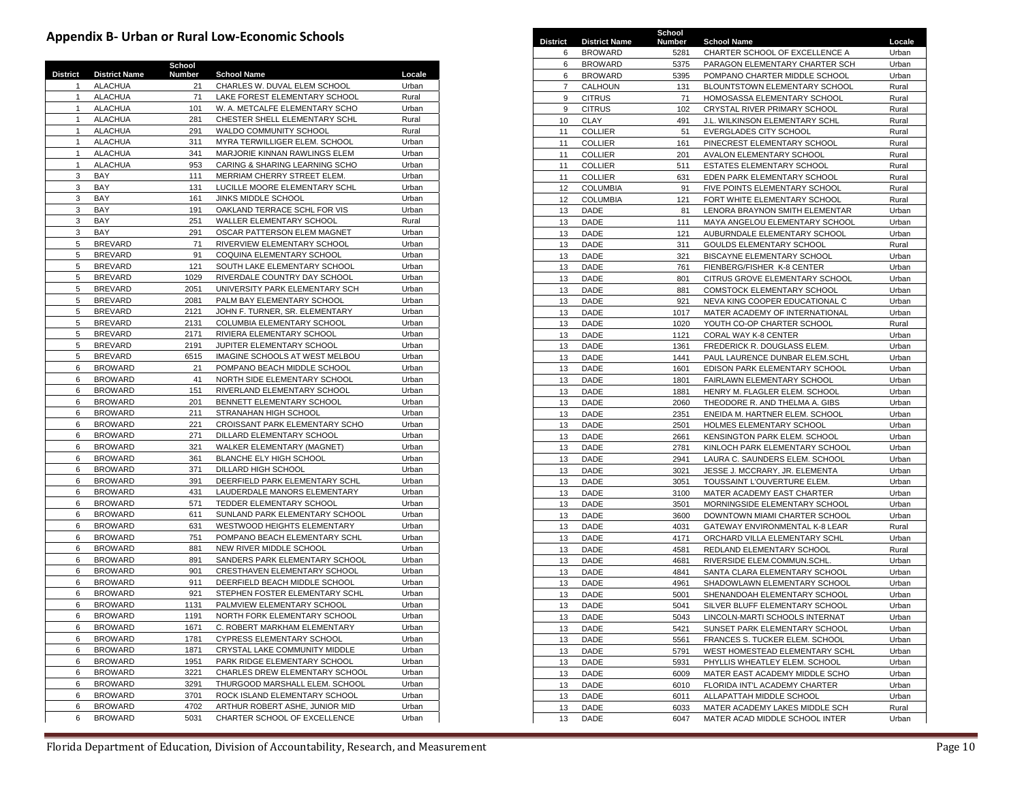# **Appendix B- Urban or Rural Low-Economic Schools**

|              |                      | School        |                                   |        |
|--------------|----------------------|---------------|-----------------------------------|--------|
| District     | <b>District Name</b> | <b>Number</b> | <b>School Name</b>                | Locale |
| $\mathbf{1}$ | <b>ALACHUA</b>       | 21            | CHARLES W. DUVAL ELEM SCHOOL      | Urban  |
| $\mathbf{1}$ | <b>ALACHUA</b>       | 71            | LAKE FOREST ELEMENTARY SCHOOL     | Rural  |
| $\mathbf{1}$ | <b>ALACHUA</b>       | 101           | W. A. METCALFE ELEMENTARY SCHO    | Urban  |
| $\mathbf{1}$ | <b>ALACHUA</b>       | 281           | CHESTER SHELL ELEMENTARY SCHL     | Rural  |
|              |                      |               |                                   |        |
| $\mathbf{1}$ | <b>ALACHUA</b>       | 291           | WALDO COMMUNITY SCHOOL            | Rural  |
| $\mathbf{1}$ | <b>ALACHUA</b>       | 311           | MYRA TERWILLIGER ELEM. SCHOOL     | Urban  |
| 1            | <b>ALACHUA</b>       | 341           | MARJORIE KINNAN RAWLINGS ELEM     | Urban  |
| $\mathbf{1}$ | <b>ALACHUA</b>       | 953           | CARING & SHARING LEARNING SCHO    | Urban  |
| 3            | BAY                  | 111           | MERRIAM CHERRY STREET ELEM.       | Urban  |
| 3            | <b>BAY</b>           | 131           | LUCILLE MOORE ELEMENTARY SCHL     | Urban  |
| 3            | BAY                  | 161           | JINKS MIDDLE SCHOOL               | Urban  |
| 3            | <b>BAY</b>           | 191           | OAKLAND TERRACE SCHL FOR VIS      | Urban  |
|              |                      |               |                                   |        |
| 3            | BAY                  | 251           | WALLER ELEMENTARY SCHOOL          | Rural  |
| 3            | BAY                  | 291           | OSCAR PATTERSON ELEM MAGNET       | Urban  |
| 5            | <b>BREVARD</b>       | 71            | RIVERVIEW ELEMENTARY SCHOOL       | Urban  |
| 5            | <b>BREVARD</b>       | 91            | COQUINA ELEMENTARY SCHOOL         | Urban  |
| 5            | <b>BREVARD</b>       | 121           | SOUTH LAKE ELEMENTARY SCHOOL      | Urban  |
| 5            | <b>BREVARD</b>       | 1029          | RIVERDALE COUNTRY DAY SCHOOL      | Urban  |
| 5            | <b>BREVARD</b>       | 2051          | UNIVERSITY PARK ELEMENTARY SCH    | Urban  |
| 5            | <b>BREVARD</b>       |               | PALM BAY ELEMENTARY SCHOOL        |        |
|              |                      | 2081          |                                   | Urban  |
| 5            | <b>BREVARD</b>       | 2121          | JOHN F. TURNER, SR. ELEMENTARY    | Urban  |
| 5            | <b>BREVARD</b>       | 2131          | <b>COLUMBIA ELEMENTARY SCHOOL</b> | Urban  |
| 5            | <b>BREVARD</b>       | 2171          | RIVIERA ELEMENTARY SCHOOL         | Urban  |
| 5            | <b>BREVARD</b>       | 2191          | JUPITER ELEMENTARY SCHOOL         | Urban  |
| 5            | <b>BREVARD</b>       | 6515          | IMAGINE SCHOOLS AT WEST MELBOU    | Urban  |
| 6            | <b>BROWARD</b>       | 21            | POMPANO BEACH MIDDLE SCHOOL       | Urban  |
| 6            | <b>BROWARD</b>       | 41            | NORTH SIDE ELEMENTARY SCHOOL      | Urban  |
| 6            | <b>BROWARD</b>       | 151           | RIVERLAND ELEMENTARY SCHOOL       | Urban  |
|              | <b>BROWARD</b>       | 201           | BENNETT ELEMENTARY SCHOOL         | Urban  |
| 6            |                      |               |                                   |        |
| 6            | <b>BROWARD</b>       | 211           | STRANAHAN HIGH SCHOOL             | Urban  |
| 6            | <b>BROWARD</b>       | 221           | CROISSANT PARK ELEMENTARY SCHO    | Urban  |
| 6            | <b>BROWARD</b>       | 271           | DILLARD ELEMENTARY SCHOOL         | Urban  |
| 6            | <b>BROWARD</b>       | 321           | WALKER ELEMENTARY (MAGNET)        | Urban  |
| 6            | <b>BROWARD</b>       | 361           | BLANCHE ELY HIGH SCHOOL           | Urban  |
| 6            | <b>BROWARD</b>       | 371           | DILLARD HIGH SCHOOL               | Urban  |
| 6            | <b>BROWARD</b>       | 391           | DEERFIELD PARK ELEMENTARY SCHL    | Urban  |
| 6            | <b>BROWARD</b>       | 431           | LAUDERDALE MANORS ELEMENTARY      | Urban  |
| 6            | <b>BROWARD</b>       | 571           | TEDDER ELEMENTARY SCHOOL          | Urban  |
| 6            |                      |               |                                   |        |
|              | <b>BROWARD</b>       | 611           | SUNLAND PARK ELEMENTARY SCHOOL    | Urban  |
| 6            | <b>BROWARD</b>       | 631           | WESTWOOD HEIGHTS ELEMENTARY       | Urban  |
| 6            | <b>BROWARD</b>       | 751           | POMPANO BEACH ELEMENTARY SCHI     | Urban  |
| 6            | <b>BROWARD</b>       | 881           | NEW RIVER MIDDLE SCHOOL           | Urban  |
| 6            | <b>BROWARD</b>       | 891           | SANDERS PARK ELEMENTARY SCHOOL    | Urban  |
| 6            | <b>BROWARD</b>       | 901           | CRESTHAVEN ELEMENTARY SCHOOL      | Urban  |
| 6            | <b>BROWARD</b>       | 911           | DEERFIELD BEACH MIDDLE SCHOOL     | Urban  |
| 6            | <b>BROWARD</b>       | 921           | STEPHEN FOSTER ELEMENTARY SCHL    | Urban  |
| 6            | <b>BROWARD</b>       | 1131          | PALMVIEW ELEMENTARY SCHOOL        | Urban  |
| 6            | <b>BROWARD</b>       | 1191          |                                   | Urban  |
|              |                      |               | NORTH FORK ELEMENTARY SCHOOL      |        |
| 6            | <b>BROWARD</b>       | 1671          | C. ROBERT MARKHAM ELEMENTARY      | Urban  |
| 6            | <b>BROWARD</b>       | 1781          | CYPRESS ELEMENTARY SCHOOL         | Urban  |
| 6            | <b>BROWARD</b>       | 1871          | CRYSTAL LAKE COMMUNITY MIDDLE     | Urban  |
| 6            | <b>BROWARD</b>       | 1951          | PARK RIDGE ELEMENTARY SCHOOL      | Urban  |
| 6            | <b>BROWARD</b>       | 3221          | CHARLES DREW ELEMENTARY SCHOOL    | Urban  |
| 6            | <b>BROWARD</b>       | 3291          | THURGOOD MARSHALL ELEM. SCHOOL    | Urban  |
| 6            | <b>BROWARD</b>       | 3701          | ROCK ISLAND ELEMENTARY SCHOOL     | Urban  |
| 6            | <b>BROWARD</b>       | 4702          | ARTHUR ROBERT ASHE, JUNIOR MID    | Urban  |
|              |                      |               |                                   |        |
| 6            | <b>BROWARD</b>       | 5031          | CHARTER SCHOOL OF EXCELLENCE      | Urban  |

|    |                      |        | ndix B- Urban or Rural Low-Economic Schools |        |                |                | District District Name | School<br>Number | <b>School Name</b>                | Locale |
|----|----------------------|--------|---------------------------------------------|--------|----------------|----------------|------------------------|------------------|-----------------------------------|--------|
|    |                      |        |                                             |        | 6              |                | <b>BROWARD</b>         | 5281             | CHARTER SCHOOL OF EXCELLENCE A    | Urban  |
|    |                      | School |                                             |        | 6              |                | <b>BROWARD</b>         | 5375             | PARAGON ELEMENTARY CHARTER SCH    | Urban  |
|    | <b>District Name</b> | Number | <b>School Name</b>                          | Locale | 6              |                | <b>BROWARD</b>         | 5395             | POMPANO CHARTER MIDDLE SCHOOL     | Urban  |
|    | <b>ALACHUA</b>       | 21     | CHARLES W. DUVAL ELEM SCHOOL                | Urban  | $\overline{7}$ |                | CALHOUN                | 131              | BLOUNTSTOWN ELEMENTARY SCHOOL     | Rural  |
|    | <b>ALACHUA</b>       | 71     | LAKE FOREST ELEMENTARY SCHOOL               | Rural  | 9              | <b>CITRUS</b>  |                        | 71               | HOMOSASSA ELEMENTARY SCHOOL       | Rural  |
|    | <b>ALACHUA</b>       | 101    | W. A. METCALFE ELEMENTARY SCHO              | Urban  | 9              | <b>CITRUS</b>  |                        | 102              | CRYSTAL RIVER PRIMARY SCHOOL      | Rural  |
|    | <b>ALACHUA</b>       | 281    | CHESTER SHELL ELEMENTARY SCHL               | Rural  | 10             | <b>CLAY</b>    |                        | 491              | J.L. WILKINSON ELEMENTARY SCHL    | Rural  |
|    | <b>ALACHUA</b>       | 291    | WALDO COMMUNITY SCHOOL                      | Rural  | 11             | <b>COLLIER</b> |                        | 51               | EVERGLADES CITY SCHOOL            | Rural  |
|    | <b>ALACHUA</b>       | 311    | MYRA TERWILLIGER ELEM. SCHOOL               | Urban  | 11             | <b>COLLIER</b> |                        | 161              | PINECREST ELEMENTARY SCHOOL       | Rural  |
|    | <b>ALACHUA</b>       | 341    | MARJORIE KINNAN RAWLINGS ELEM               | Urban  | 11             | <b>COLLIER</b> |                        | 201              | AVALON ELEMENTARY SCHOOL          | Rural  |
|    | <b>ALACHUA</b>       | 953    | CARING & SHARING LEARNING SCHO              | Urban  | 11             | <b>COLLIER</b> |                        | 511              | ESTATES ELEMENTARY SCHOOL         | Rural  |
|    | BAY                  | 111    | MERRIAM CHERRY STREET ELEM.                 | Urban  | 11             | <b>COLLIER</b> |                        | 631              | EDEN PARK ELEMENTARY SCHOOL       | Rural  |
|    | BAY                  | 131    | LUCILLE MOORE ELEMENTARY SCHL               | Urban  | 12             |                | <b>COLUMBIA</b>        | 91               | FIVE POINTS ELEMENTARY SCHOOL     | Rural  |
|    | BAY                  | 161    | JINKS MIDDLE SCHOOL                         | Urban  | 12             |                | <b>COLUMBIA</b>        | 121              | FORT WHITE ELEMENTARY SCHOOL      | Rural  |
|    | BAY                  | 191    | OAKLAND TERRACE SCHL FOR VIS                | Urban  | 13             | DADE           |                        | 81               | LENORA BRAYNON SMITH ELEMENTAR    | Urban  |
|    | BAY                  | 251    | WALLER ELEMENTARY SCHOOL                    | Rural  | 13             | DADE           |                        | 111              | MAYA ANGELOU ELEMENTARY SCHOOL    | Urban  |
|    | BAY                  | 291    | OSCAR PATTERSON ELEM MAGNET                 | Urban  | 13             | DADE           |                        | 121              | AUBURNDALE ELEMENTARY SCHOOL      | Urban  |
|    | <b>BREVARD</b>       | 71     | RIVERVIEW ELEMENTARY SCHOOL                 | Urban  | 13             | DADE           |                        | 311              | GOULDS ELEMENTARY SCHOOL          | Rural  |
|    | <b>BREVARD</b>       | 91     | COQUINA ELEMENTARY SCHOOL                   | Urban  | 13             | DADE           |                        | 321              | BISCAYNE ELEMENTARY SCHOOL        | Urban  |
|    | <b>BREVARD</b>       | 121    | SOUTH LAKE ELEMENTARY SCHOOL                | Urban  | 13             | DADE           |                        | 761              | FIENBERG/FISHER K-8 CENTER        | Urban  |
|    | <b>BREVARD</b>       | 1029   | RIVERDALE COUNTRY DAY SCHOOL                | Urban  | 13             | DADE           |                        | 801              | CITRUS GROVE ELEMENTARY SCHOOL    | Urban  |
|    | <b>BREVARD</b>       | 2051   | UNIVERSITY PARK ELEMENTARY SCH              | Urban  | 13             | DADE           |                        | 881              | <b>COMSTOCK ELEMENTARY SCHOOL</b> | Urban  |
|    | <b>BREVARD</b>       | 2081   | PALM BAY ELEMENTARY SCHOOL                  | Urban  | 13             | DADE           |                        | 921              | NEVA KING COOPER EDUCATIONAL C    | Urban  |
|    | <b>BREVARD</b>       | 2121   | JOHN F. TURNER, SR. ELEMENTARY              | Urban  | 13             | DADE           |                        | 1017             | MATER ACADEMY OF INTERNATIONAL    | Urban  |
|    | <b>BREVARD</b>       | 2131   | COLUMBIA ELEMENTARY SCHOOL                  | Urban  | 13             | DADE           |                        | 1020             | YOUTH CO-OP CHARTER SCHOOL        | Rural  |
|    | <b>BREVARD</b>       | 2171   | RIVIERA ELEMENTARY SCHOOL                   | Urban  | 13             | DADE           |                        | 1121             | CORAL WAY K-8 CENTER              | Urban  |
|    | <b>BREVARD</b>       | 2191   | JUPITER ELEMENTARY SCHOOL                   | Urban  | 13             | DADE           |                        | 1361             | FREDERICK R. DOUGLASS ELEM.       | Urban  |
|    | <b>BREVARD</b>       | 6515   | IMAGINE SCHOOLS AT WEST MELBOU              | Urban  | 13             | DADE           |                        | 1441             | PAUL LAURENCE DUNBAR ELEM.SCHL    | Urban  |
|    | <b>BROWARD</b>       | 21     | POMPANO BEACH MIDDLE SCHOOL                 | Urban  | 13             | DADE           |                        | 1601             | EDISON PARK ELEMENTARY SCHOOL     | Urban  |
|    | <b>BROWARD</b>       | 41     | NORTH SIDE ELEMENTARY SCHOOL                | Urban  | 13             | DADE           |                        | 1801             | FAIRLAWN ELEMENTARY SCHOOL        | Urban  |
|    | <b>BROWARD</b>       | 151    | RIVERLAND ELEMENTARY SCHOOL                 | Urban  | 13             | DADE           |                        | 1881             | HENRY M. FLAGLER ELEM. SCHOOL     | Urban  |
|    | <b>BROWARD</b>       | 201    | BENNETT ELEMENTARY SCHOOL                   | Urban  | 13             | DADE           |                        | 2060             | THEODORE R. AND THELMA A. GIBS    | Urban  |
|    | <b>BROWARD</b>       | 211    | STRANAHAN HIGH SCHOOL                       | Urban  | 13             | DADE           |                        | 2351             | ENEIDA M. HARTNER ELEM. SCHOOL    | Urban  |
|    | <b>BROWARD</b>       | 221    | CROISSANT PARK ELEMENTARY SCHO              | Urban  | 13             | DADE           |                        | 2501             | HOLMES ELEMENTARY SCHOOL          | Urban  |
|    | <b>BROWARD</b>       | 271    | DILLARD ELEMENTARY SCHOOL                   | Urban  | 13             | DADE           |                        | 2661             | KENSINGTON PARK ELEM. SCHOOL      | Urban  |
|    | <b>BROWARD</b>       | 321    | WALKER ELEMENTARY (MAGNET)                  | Urban  | 13             | DADE           |                        | 2781             | KINLOCH PARK ELEMENTARY SCHOOL    | Urban  |
|    | <b>BROWARD</b>       | 361    | BLANCHE ELY HIGH SCHOOL                     | Urban  | 13             | DADE           |                        | 2941             | LAURA C. SAUNDERS ELEM. SCHOOL    | Urban  |
|    | <b>BROWARD</b>       | 371    | DILLARD HIGH SCHOOL                         | Urban  | 13             | DADE           |                        | 3021             | JESSE J. MCCRARY, JR. ELEMENTA    | Urban  |
|    | <b>BROWARD</b>       | 391    | DEERFIELD PARK ELEMENTARY SCHL              | Urban  | 13             | DADE           |                        | 3051             | TOUSSAINT L'OUVERTURE ELEM.       | Urban  |
|    | <b>BROWARD</b>       | 431    | LAUDERDALE MANORS ELEMENTARY                | Urban  | 13             | DADE           |                        | 3100             | MATER ACADEMY EAST CHARTER        | Urban  |
|    | <b>BROWARD</b>       | 571    | TEDDER ELEMENTARY SCHOOL                    | Urban  | 13             | DADE           |                        | 3501             | MORNINGSIDE ELEMENTARY SCHOOL     | Urban  |
|    | <b>BROWARD</b>       | 611    | SUNLAND PARK ELEMENTARY SCHOOL              | Urban  | 13             | DADE           |                        | 3600             | DOWNTOWN MIAMI CHARTER SCHOOL     | Urban  |
|    | <b>BROWARD</b>       | 631    | WESTWOOD HEIGHTS ELEMENTARY                 | Urban  | 13             | DADE           |                        | 4031             | GATEWAY ENVIRONMENTAL K-8 LEAR    | Rural  |
|    | <b>BROWARD</b>       | 751    | POMPANO BEACH ELEMENTARY SCHL               | Urban  | 13             | DADE           |                        | 4171             | ORCHARD VILLA ELEMENTARY SCHL     | Urban  |
|    | <b>BROWARD</b>       | 881    | NEW RIVER MIDDLE SCHOOL                     | Urban  | 13             | DADE           |                        | 4581             | REDLAND ELEMENTARY SCHOOL         | Rural  |
|    | <b>BROWARD</b>       | 891    | SANDERS PARK ELEMENTARY SCHOOL              | Urban  | 13             | DADE           |                        | 4681             | RIVERSIDE ELEM.COMMUN.SCHL        | Urban  |
|    | <b>BROWARD</b>       | 901    | CRESTHAVEN ELEMENTARY SCHOOL                | Urban  | 13             | DADE           |                        | 4841             | SANTA CLARA ELEMENTARY SCHOOL     | Urban  |
|    | <b>BROWARD</b>       | 911    | DEERFIELD BEACH MIDDLE SCHOOL               | Urban  | 13             | DADE           |                        | 4961             | SHADOWLAWN ELEMENTARY SCHOOL      | Urban  |
|    | <b>BROWARD</b>       | 921    | STEPHEN FOSTER ELEMENTARY SCHL              | Urban  | 13             | DADE           |                        | 5001             | SHENANDOAH ELEMENTARY SCHOOL      | Urban  |
|    | <b>BROWARD</b>       | 1131   | PALMVIEW ELEMENTARY SCHOOL                  | Urban  | 13             | DADE           |                        | 5041             | SILVER BLUFF ELEMENTARY SCHOOL    | Urban  |
| 6. | <b>BROWARD</b>       | 1191   | NORTH FORK ELEMENTARY SCHOOL                | Urban  | 13             | DADE           |                        | 5043             | LINCOLN-MARTI SCHOOLS INTERNAT    | Urban  |
|    | <b>BROWARD</b>       | 1671   | C. ROBERT MARKHAM ELEMENTARY                | Urban  | 13             | DADE           |                        | 5421             | SUNSET PARK ELEMENTARY SCHOOL     | Urban  |
|    | <b>BROWARD</b>       | 1781   | CYPRESS ELEMENTARY SCHOOL                   | Urban  | 13             | DADE           |                        | 5561             | FRANCES S. TUCKER ELEM. SCHOOL    | Urban  |
|    | <b>BROWARD</b>       | 1871   | CRYSTAL LAKE COMMUNITY MIDDLE               | Urban  | 13             | DADE           |                        | 5791             | WEST HOMESTEAD ELEMENTARY SCHL    | Urban  |
|    | <b>BROWARD</b>       | 1951   | PARK RIDGE ELEMENTARY SCHOOL                | Urban  | 13             | DADE           |                        | 5931             | PHYLLIS WHEATLEY ELEM. SCHOOL     | Urban  |
|    | <b>BROWARD</b>       | 3221   | CHARLES DREW ELEMENTARY SCHOOL              | Urban  | 13             | DADE           |                        | 6009             | MATER EAST ACADEMY MIDDLE SCHO    | Urban  |
|    | <b>BROWARD</b>       | 3291   | THURGOOD MARSHALL ELEM. SCHOOL              | Urban  | 13             | DADE           |                        | 6010             | FLORIDA INT'L ACADEMY CHARTER     | Urban  |
|    | <b>BROWARD</b>       | 3701   | ROCK ISLAND ELEMENTARY SCHOOL               | Urban  | 13             | DADE           |                        | 6011             | ALLAPATTAH MIDDLE SCHOOL          | Urban  |
|    | <b>BROWARD</b>       | 4702   | ARTHUR ROBERT ASHE, JUNIOR MID              | Urban  | 13             | DADE           |                        | 6033             | MATER ACADEMY LAKES MIDDLE SCH    | Rural  |
|    | <b>BROWARD</b>       | 5031   | CHARTER SCHOOL OF EXCELLENCE                | Urban  | 13             | DADE           |                        | 6047             | MATER ACAD MIDDLE SCHOOL INTER    | Urban  |
|    |                      |        |                                             |        |                |                |                        |                  |                                   |        |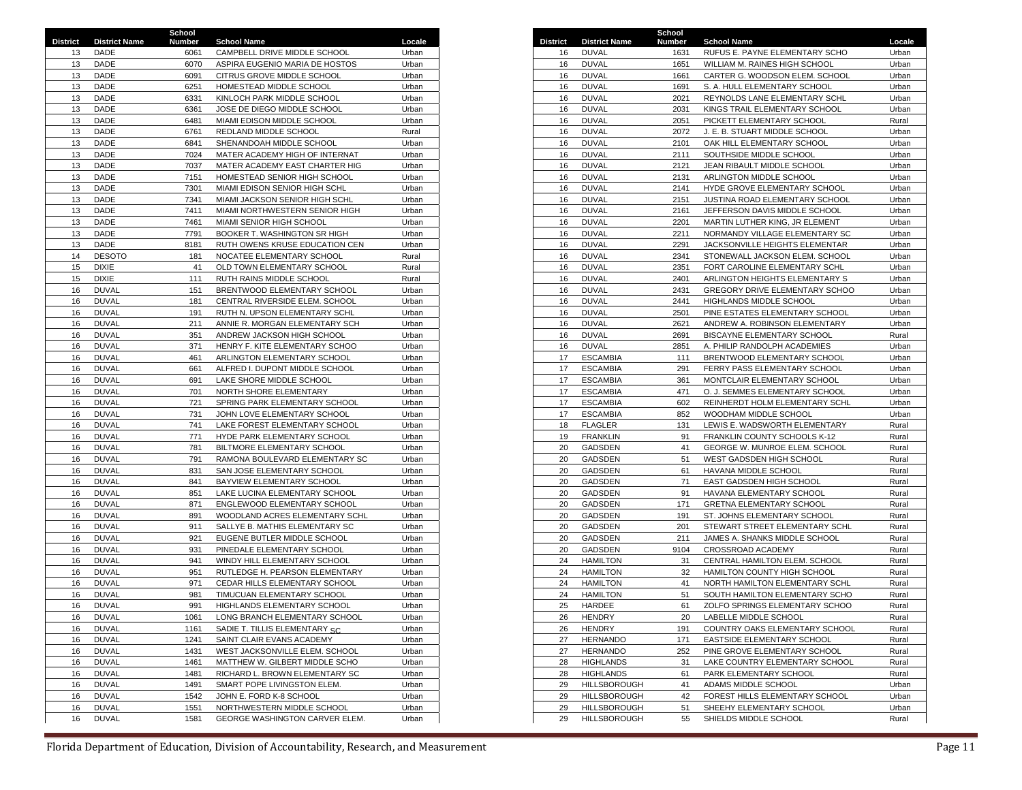|                 |                      | School |                                    |        |                 |                      | School |                                 |        |
|-----------------|----------------------|--------|------------------------------------|--------|-----------------|----------------------|--------|---------------------------------|--------|
| <b>District</b> | <b>District Name</b> | Number | <b>School Name</b>                 | Locale | <b>District</b> | <b>District Name</b> | Number | <b>School Name</b>              | Locale |
| 13              | DADE                 | 6061   | CAMPBELL DRIVE MIDDLE SCHOOL       | Urban  | 16              | <b>DUVAL</b>         | 1631   | RUFUS E. PAYNE ELEMENTARY SCHO  | Urban  |
| 13              | DADE                 | 6070   | ASPIRA EUGENIO MARIA DE HOSTOS     | Urban  | 16              | <b>DUVAL</b>         | 1651   | WILLIAM M. RAINES HIGH SCHOOL   | Urban  |
| 13              | DADE                 | 6091   | CITRUS GROVE MIDDLE SCHOOL         | Urban  | 16              | <b>DUVAL</b>         | 1661   | CARTER G. WOODSON ELEM. SCHOOL  | Urban  |
| 13              | DADE                 | 6251   | HOMESTEAD MIDDLE SCHOOL            | Urban  | 16              | <b>DUVAL</b>         | 1691   | S. A. HULL ELEMENTARY SCHOOL    | Urban  |
| 13              | DADE                 | 6331   | KINLOCH PARK MIDDLE SCHOOL         | Urban  | 16              | <b>DUVAL</b>         | 2021   | REYNOLDS LANE ELEMENTARY SCHL   | Urban  |
| 13              | DADE                 | 6361   | JOSE DE DIEGO MIDDLE SCHOOL        | Urban  | 16              | <b>DUVAL</b>         | 2031   | KINGS TRAIL ELEMENTARY SCHOOL   | Urban  |
| 13              | DADE                 | 6481   | MIAMI EDISON MIDDLE SCHOOL         | Urban  | 16              | <b>DUVAL</b>         | 2051   | PICKETT ELEMENTARY SCHOOL       | Rural  |
| 13              | DADE                 | 6761   | REDLAND MIDDLE SCHOOL              | Rural  | 16              | <b>DUVAL</b>         | 2072   | J. E. B. STUART MIDDLE SCHOOL   | Urban  |
| 13              | DADE                 | 6841   | SHENANDOAH MIDDLE SCHOOL           | Urban  | 16              | <b>DUVAL</b>         | 2101   | OAK HILL ELEMENTARY SCHOOL      | Urban  |
|                 | DADE                 |        |                                    |        |                 | <b>DUVAL</b>         |        |                                 | Urban  |
| 13              |                      | 7024   | MATER ACADEMY HIGH OF INTERNAT     | Urban  | 16              |                      | 2111   | SOUTHSIDE MIDDLE SCHOOL         |        |
| 13              | DADE                 | 7037   | MATER ACADEMY EAST CHARTER HIG     | Urban  | 16              | <b>DUVAL</b>         | 2121   | JEAN RIBAULT MIDDLE SCHOOL      | Urban  |
| 13              | DADE                 | 7151   | HOMESTEAD SENIOR HIGH SCHOOL       | Urban  | 16              | <b>DUVAL</b>         | 2131   | ARLINGTON MIDDLE SCHOOL         | Urban  |
| 13              | DADE                 | 7301   | MIAMI EDISON SENIOR HIGH SCHL      | Urban  | 16              | <b>DUVAL</b>         | 2141   | HYDE GROVE ELEMENTARY SCHOOL    | Urban  |
| 13              | DADE                 | 7341   | MIAMI JACKSON SENIOR HIGH SCHL     | Urban  | 16              | <b>DUVAL</b>         | 2151   | JUSTINA ROAD ELEMENTARY SCHOOL  | Urban  |
| 13              | DADE                 | 7411   | MIAMI NORTHWESTERN SENIOR HIGH     | Urban  | 16              | <b>DUVAL</b>         | 2161   | JEFFERSON DAVIS MIDDLE SCHOOL   | Urban  |
| 13              | DADE                 | 7461   | MIAMI SENIOR HIGH SCHOOL           | Urban  | 16              | <b>DUVAL</b>         | 2201   | MARTIN LUTHER KING, JR ELEMENT  | Urban  |
| 13              | DADE                 | 7791   | BOOKER T. WASHINGTON SR HIGH       | Urban  | 16              | <b>DUVAL</b>         | 2211   | NORMANDY VILLAGE ELEMENTARY SC  | Urban  |
| 13              | DADE                 | 8181   | RUTH OWENS KRUSE EDUCATION CEN     | Urban  | 16              | <b>DUVAL</b>         | 2291   | JACKSONVILLE HEIGHTS ELEMENTAR  | Urban  |
| 14              | <b>DESOTO</b>        | 181    | NOCATEE ELEMENTARY SCHOOL          | Rural  | 16              | <b>DUVAL</b>         | 2341   | STONEWALL JACKSON ELEM. SCHOOL  | Urban  |
| 15              | <b>DIXIE</b>         | 41     | OLD TOWN ELEMENTARY SCHOOL         | Rural  | 16              | <b>DUVAL</b>         | 2351   | FORT CAROLINE ELEMENTARY SCHL   | Urban  |
| 15              | <b>DIXIE</b>         | 111    | RUTH RAINS MIDDLE SCHOOL           | Rural  | 16              | <b>DUVAL</b>         | 2401   | ARLINGTON HEIGHTS ELEMENTARY S  | Urban  |
| 16              | <b>DUVAL</b>         | 151    | BRENTWOOD ELEMENTARY SCHOOL        | Urban  | 16              | <b>DUVAL</b>         | 2431   | GREGORY DRIVE ELEMENTARY SCHOO  | Urban  |
| 16              | <b>DUVAL</b>         | 181    | CENTRAL RIVERSIDE ELEM. SCHOOL     | Urban  | 16              | <b>DUVAL</b>         | 2441   | HIGHLANDS MIDDLE SCHOOL         | Urban  |
| 16              | <b>DUVAL</b>         | 191    | RUTH N. UPSON ELEMENTARY SCHL      | Urban  | 16              | <b>DUVAL</b>         | 2501   | PINE ESTATES ELEMENTARY SCHOOL  | Urban  |
| 16              | <b>DUVAL</b>         | 211    | ANNIE R. MORGAN ELEMENTARY SCH     | Urban  | 16              | <b>DUVAL</b>         | 2621   | ANDREW A. ROBINSON ELEMENTARY   | Urban  |
|                 |                      |        |                                    |        |                 | <b>DUVAL</b>         |        |                                 |        |
| 16              | <b>DUVAL</b>         | 351    | ANDREW JACKSON HIGH SCHOOL         | Urban  | 16              |                      | 2691   | BISCAYNE ELEMENTARY SCHOOL      | Rural  |
| 16              | <b>DUVAL</b>         | 371    | HENRY F. KITE ELEMENTARY SCHOO     | Urban  | 16              | <b>DUVAL</b>         | 2851   | A. PHILIP RANDOLPH ACADEMIES    | Urban  |
| 16              | <b>DUVAL</b>         | 461    | ARLINGTON ELEMENTARY SCHOOL        | Urban  | 17              | <b>ESCAMBIA</b>      | 111    | BRENTWOOD ELEMENTARY SCHOOL     | Urban  |
| 16              | <b>DUVAL</b>         | 661    | ALFRED I. DUPONT MIDDLE SCHOOL     | Urban  | 17              | <b>ESCAMBIA</b>      | 291    | FERRY PASS ELEMENTARY SCHOOL    | Urban  |
| 16              | <b>DUVAL</b>         | 691    | LAKE SHORE MIDDLE SCHOOL           | Urban  | 17              | <b>ESCAMBIA</b>      | 361    | MONTCLAIR ELEMENTARY SCHOOL     | Urban  |
| 16              | <b>DUVAL</b>         | 701    | NORTH SHORE ELEMENTARY             | Urban  | 17              | <b>ESCAMBIA</b>      | 471    | O. J. SEMMES ELEMENTARY SCHOOL  | Urban  |
| 16              | <b>DUVAL</b>         | 721    | SPRING PARK ELEMENTARY SCHOOL      | Urban  | 17              | <b>ESCAMBIA</b>      | 602    | REINHERDT HOLM ELEMENTARY SCHL  | Urban  |
| 16              | <b>DUVAL</b>         | 731    | JOHN LOVE ELEMENTARY SCHOOL        | Urban  | 17              | <b>ESCAMBIA</b>      | 852    | WOODHAM MIDDLE SCHOOL           | Urban  |
| 16              | <b>DUVAL</b>         | 741    | LAKE FOREST ELEMENTARY SCHOOL      | Urban  | 18              | <b>FLAGLER</b>       | 131    | LEWIS E. WADSWORTH ELEMENTARY   | Rural  |
| 16              | <b>DUVAL</b>         | 771    | HYDE PARK ELEMENTARY SCHOOL        | Urban  | 19              | <b>FRANKLIN</b>      | 91     | FRANKLIN COUNTY SCHOOLS K-12    | Rural  |
| 16              | <b>DUVAL</b>         | 781    | BILTMORE ELEMENTARY SCHOOL         | Urban  | 20              | GADSDEN              | 41     | GEORGE W. MUNROE ELEM. SCHOOL   | Rural  |
| 16              | <b>DUVAL</b>         | 791    | RAMONA BOULEVARD ELEMENTARY SC     | Urban  | 20              | GADSDEN              | 51     | WEST GADSDEN HIGH SCHOOL        | Rural  |
| 16              | <b>DUVAL</b>         | 831    | SAN JOSE ELEMENTARY SCHOOL         | Urban  | 20              | GADSDEN              | 61     | HAVANA MIDDLE SCHOOL            | Rural  |
| 16              | <b>DUVAL</b>         | 841    | BAYVIEW ELEMENTARY SCHOOL          | Urban  | 20              | <b>GADSDEN</b>       | 71     | EAST GADSDEN HIGH SCHOOL        | Rural  |
| 16              | <b>DUVAL</b>         | 851    | LAKE LUCINA ELEMENTARY SCHOOL      | Urban  | 20              | <b>GADSDEN</b>       | 91     | HAVANA ELEMENTARY SCHOOL        | Rural  |
| 16              | <b>DUVAL</b>         | 871    | ENGLEWOOD ELEMENTARY SCHOOL        | Urban  | 20              | <b>GADSDEN</b>       | 171    | <b>GRETNA ELEMENTARY SCHOOL</b> | Rural  |
| 16              | <b>DUVAL</b>         | 891    | WOODLAND ACRES ELEMENTARY SCHL     | Urban  | 20              | GADSDEN              | 191    | ST. JOHNS ELEMENTARY SCHOOL     | Rural  |
| 16              | <b>DUVAL</b>         | 911    | SALLYE B. MATHIS ELEMENTARY SC     | Urban  | 20              | <b>GADSDEN</b>       | 201    | STEWART STREET ELEMENTARY SCHL  | Rural  |
| 16              | <b>DUVAL</b>         | 921    | EUGENE BUTLER MIDDLE SCHOOL        | Urban  | 20              | <b>GADSDEN</b>       | 211    | JAMES A. SHANKS MIDDLE SCHOOL   | Rural  |
| 16              | <b>DUVAL</b>         | 931    | PINEDALE ELEMENTARY SCHOOL         | Urban  | 20              | GADSDEN              | 9104   | CROSSROAD ACADEMY               | Rural  |
|                 |                      |        |                                    |        |                 |                      |        |                                 |        |
| 16              | <b>DUVAL</b>         | 941    | WINDY HILL ELEMENTARY SCHOOL       | Urban  | 24              | <b>HAMILTON</b>      | 31     | CENTRAL HAMILTON ELEM. SCHOOL   | Rural  |
| 16              | <b>DUVAL</b>         | 951    | RUTLEDGE H. PEARSON ELEMENTARY     | Urban  | 24              | <b>HAMILTON</b>      | 32     | HAMILTON COUNTY HIGH SCHOOL     | Rural  |
| 16              | <b>DUVAL</b>         | 971    | CEDAR HILLS ELEMENTARY SCHOOL      | Urban  | 24              | <b>HAMILTON</b>      | 41     | NORTH HAMILTON ELEMENTARY SCHL  | Rural  |
| 16              | <b>DUVAL</b>         | 981    | TIMUCUAN ELEMENTARY SCHOOL         | Urban  | 24              | <b>HAMILTON</b>      | 51     | SOUTH HAMILTON ELEMENTARY SCHO  | Rural  |
| 16              | <b>DUVAL</b>         | 991    | <b>HIGHLANDS ELEMENTARY SCHOOL</b> | Urban  |                 | 25 HARDEE            | 61     | ZOLFO SPRINGS ELEMENTARY SCHOO  | Rural  |
| 16              | <b>DUVAL</b>         | 1061   | LONG BRANCH ELEMENTARY SCHOOL      | Urban  | 26              | <b>HENDRY</b>        | 20     | LABELLE MIDDLE SCHOOL           | Rural  |
| 16              | <b>DUVAL</b>         | 1161   | SADIE T. TILLIS ELEMENTARY SC.     | Urban  | 26              | <b>HENDRY</b>        | 191    | COUNTRY OAKS ELEMENTARY SCHOOL  | Rural  |
| 16              | <b>DUVAL</b>         | 1241   | SAINT CLAIR EVANS ACADEMY          | Urban  | 27              | <b>HERNANDO</b>      | 171    | EASTSIDE ELEMENTARY SCHOOL      | Rural  |
| 16              | <b>DUVAL</b>         | 1431   | WEST JACKSONVILLE ELEM. SCHOOL     | Urban  | 27              | <b>HERNANDO</b>      | 252    | PINE GROVE ELEMENTARY SCHOOL    | Rural  |
| 16              | <b>DUVAL</b>         | 1461   | MATTHEW W. GILBERT MIDDLE SCHO     | Urban  | 28              | <b>HIGHLANDS</b>     | 31     | LAKE COUNTRY ELEMENTARY SCHOOL  | Rural  |
| 16              | <b>DUVAL</b>         | 1481   | RICHARD L. BROWN ELEMENTARY SC     | Urban  | 28              | <b>HIGHLANDS</b>     | 61     | PARK ELEMENTARY SCHOOL          | Rural  |
| 16              | <b>DUVAL</b>         | 1491   | SMART POPE LIVINGSTON ELEM.        | Urban  | 29              | HILLSBOROUGH         | 41     | ADAMS MIDDLE SCHOOL             | Urban  |
| 16              | <b>DUVAL</b>         | 1542   | JOHN E. FORD K-8 SCHOOL            | Urban  | 29              | HILLSBOROUGH         | 42     | FOREST HILLS ELEMENTARY SCHOOL  | Urban  |
| 16              | <b>DUVAL</b>         | 1551   | NORTHWESTERN MIDDLE SCHOOL         | Urban  | 29              | HILLSBOROUGH         | 51     | SHEEHY ELEMENTARY SCHOOL        | Urban  |
| 16              | <b>DUVAL</b>         | 1581   | GEORGE WASHINGTON CARVER ELEM.     | Urban  | 29              | HILLSBOROUGH         | 55     | SHIELDS MIDDLE SCHOOL           | Rural  |
|                 |                      |        |                                    |        |                 |                      |        |                                 |        |

|    | ct District Name | Number | <b>School Name</b>             | Locale |
|----|------------------|--------|--------------------------------|--------|
|    | DADE             | 6061   | CAMPBELL DRIVE MIDDLE SCHOOL   | Urban  |
| 13 | DADE             | 6070   | ASPIRA EUGENIO MARIA DE HOSTOS | Urban  |
| 13 | DADE             | 6091   | CITRUS GROVE MIDDLE SCHOOL     | Urban  |
| 13 | DADE             | 6251   | HOMESTEAD MIDDLE SCHOOL        | Urban  |
| 13 | DADE             | 6331   | KINLOCH PARK MIDDLE SCHOOL     | Urban  |
| 13 | DADE             | 6361   | JOSE DE DIEGO MIDDLE SCHOOL    | Urban  |
| 13 | DADE             | 6481   | MIAMI EDISON MIDDLE SCHOOL     | Urban  |
| 13 | DADE             | 6761   | REDLAND MIDDLE SCHOOL          | Rural  |
| 13 | DADE             | 6841   | SHENANDOAH MIDDLE SCHOOL       | Urban  |
| 13 | DADE             | 7024   | MATER ACADEMY HIGH OF INTERNAT | Urban  |
| 13 | DADE             | 7037   | MATER ACADEMY EAST CHARTER HIG | Urban  |
| 13 | DADE             | 7151   | HOMESTEAD SENIOR HIGH SCHOOL   | Urban  |
| 13 | DADE             | 7301   | MIAMI EDISON SENIOR HIGH SCHL  | Urban  |
| 13 | DADE             | 7341   | MIAMI JACKSON SENIOR HIGH SCHL | Urban  |
| 13 | DADE             | 7411   | MIAMI NORTHWESTERN SENIOR HIGH | Urban  |
| 13 | DADE             | 7461   | MIAMI SENIOR HIGH SCHOOL       | Urban  |
|    |                  |        |                                |        |
| 13 | DADE             | 7791   | BOOKER T. WASHINGTON SR HIGH   | Urban  |
| 13 | DADE             | 8181   | RUTH OWENS KRUSE EDUCATION CEN | Urban  |
| 14 | <b>DESOTO</b>    | 181    | NOCATEE ELEMENTARY SCHOOL      | Rural  |
| 15 | <b>DIXIE</b>     | 41     | OLD TOWN ELEMENTARY SCHOOL     | Rural  |
| 15 | <b>DIXIE</b>     | 111    | RUTH RAINS MIDDLE SCHOOL       | Rural  |
| 16 | <b>DUVAL</b>     | 151    | BRENTWOOD ELEMENTARY SCHOOL    | Urban  |
| 16 | <b>DUVAL</b>     | 181    | CENTRAL RIVERSIDE ELEM. SCHOOL | Urban  |
| 16 | <b>DUVAL</b>     | 191    | RUTH N. UPSON ELEMENTARY SCHL  | Urban  |
| 16 | <b>DUVAL</b>     | 211    | ANNIE R. MORGAN ELEMENTARY SCH | Urban  |
| 16 | <b>DUVAL</b>     | 351    | ANDREW JACKSON HIGH SCHOOL     | Urban  |
| 16 | <b>DUVAL</b>     | 371    | HENRY F. KITE ELEMENTARY SCHOO | Urban  |
| 16 | <b>DUVAL</b>     | 461    | ARLINGTON ELEMENTARY SCHOOL    | Urban  |
| 16 | <b>DUVAL</b>     | 661    | ALFRED I. DUPONT MIDDLE SCHOOL | Urban  |
| 16 | <b>DUVAL</b>     | 691    | LAKE SHORE MIDDLE SCHOOL       | Urban  |
| 16 | <b>DUVAL</b>     | 701    | NORTH SHORE ELEMENTARY         | Urban  |
| 16 | <b>DUVAL</b>     | 721    | SPRING PARK ELEMENTARY SCHOOL  | Urban  |
| 16 | <b>DUVAL</b>     | 731    | JOHN LOVE ELEMENTARY SCHOOL    | Urban  |
| 16 | <b>DUVAL</b>     | 741    | LAKE FOREST ELEMENTARY SCHOOL  | Urban  |
|    |                  |        |                                |        |
| 16 | <b>DUVAL</b>     | 771    | HYDE PARK ELEMENTARY SCHOOL    | Urban  |
| 16 | <b>DUVAL</b>     | 781    | BILTMORE ELEMENTARY SCHOOL     | Urban  |
| 16 | <b>DUVAL</b>     | 791    | RAMONA BOULEVARD ELEMENTARY SC | Urban  |
| 16 | <b>DUVAL</b>     | 831    | SAN JOSE ELEMENTARY SCHOOL     | Urban  |
| 16 | <b>DUVAL</b>     | 841    | BAYVIEW ELEMENTARY SCHOOL      | Urban  |
| 16 | DUVAL            | 851    | LAKE LUCINA ELEMENTARY SCHOOL  | Urban  |
| 16 | <b>DUVAL</b>     | 871    | ENGLEWOOD ELEMENTARY SCHOOL    | Urban  |
| 16 | <b>DUVAL</b>     | 891    | WOODLAND ACRES ELEMENTARY SCHL | Urban  |
| 16 | <b>DUVAL</b>     | 911    | SALLYE B. MATHIS ELEMENTARY SC | Urban  |
| 16 | <b>DUVAL</b>     | 921    | EUGENE BUTLER MIDDLE SCHOOL    | Urban  |
| 16 | <b>DUVAL</b>     | 931    | PINEDALE ELEMENTARY SCHOOL     | Urban  |
| 16 | <b>DUVAL</b>     | 941    | WINDY HILL ELEMENTARY SCHOOL   | Urban  |
| 16 | <b>DUVAL</b>     | 951    | RUTLEDGE H. PEARSON ELEMENTARY | Urban  |
| 16 | <b>DUVAL</b>     | 971    | CEDAR HILLS ELEMENTARY SCHOOL  | Urban  |
| 16 | <b>DUVAL</b>     | 981    | TIMUCUAN ELEMENTARY SCHOOL     | Urban  |
| 16 | <b>DUVAL</b>     | 991    | HIGHLANDS ELEMENTARY SCHOOL    | Urban  |
|    |                  |        |                                |        |
| 16 | <b>DUVAL</b>     | 1061   | LONG BRANCH ELEMENTARY SCHOOL  | Urban  |
| 16 | DUVAL            | 1161   | SADIE T. TILLIS ELEMENTARY SC. | Urban  |
| 16 | <b>DUVAL</b>     | 1241   | SAINT CLAIR EVANS ACADEMY      | Urban  |
| 16 | <b>DUVAL</b>     | 1431   | WEST JACKSONVILLE ELEM. SCHOOL | Urban  |
| 16 | <b>DUVAL</b>     | 1461   | MATTHEW W. GILBERT MIDDLE SCHO | Urban  |
| 16 | <b>DUVAL</b>     | 1481   | RICHARD L. BROWN ELEMENTARY SC | Urban  |
| 16 | <b>DUVAL</b>     | 1491   | SMART POPE LIVINGSTON ELEM.    | Urban  |
| 16 | <b>DUVAL</b>     | 1542   | JOHN E. FORD K-8 SCHOOL        | Urban  |
| 16 | <b>DUVAL</b>     | 1551   | NORTHWESTERN MIDDLE SCHOOL     | Urban  |
| 16 | <b>DUVAL</b>     | 1581   | GEORGE WASHINGTON CARVER ELEM. | Urban  |
|    |                  |        |                                |        |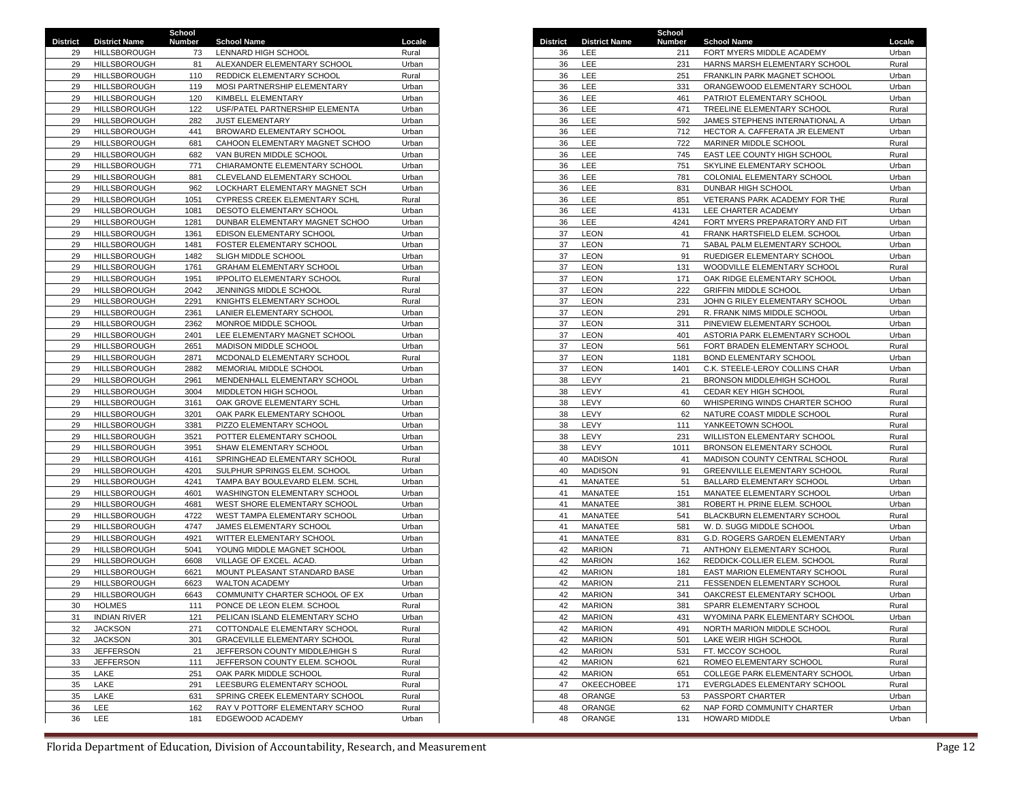|                 |                      | School |                                     |        |    |                               | School |                                  |        |
|-----------------|----------------------|--------|-------------------------------------|--------|----|-------------------------------|--------|----------------------------------|--------|
| <b>District</b> | <b>District Name</b> | Number | <b>School Name</b>                  | Locale |    | <b>District District Name</b> | Number | <b>School Name</b>               | Locale |
| 29              | HILLSBOROUGH         | 73     | LENNARD HIGH SCHOOL                 | Rural  | 36 | LEE                           | 211    | FORT MYERS MIDDLE ACADEMY        | Urban  |
| 29              | <b>HILLSBOROUGH</b>  | 81     | ALEXANDER ELEMENTARY SCHOOL         | Urban  | 36 | LEE                           | 231    | HARNS MARSH ELEMENTARY SCHOOL    | Rural  |
| 29              | HILLSBOROUGH         | 110    | REDDICK ELEMENTARY SCHOOL           | Rural  | 36 | LEE                           | 251    | FRANKLIN PARK MAGNET SCHOOL      | Urban  |
| 29              | <b>HILLSBOROUGH</b>  | 119    | MOSI PARTNERSHIP ELEMENTARY         | Urban  | 36 | <b>LEE</b>                    | 331    | ORANGEWOOD ELEMENTARY SCHOOL     | Urban  |
| 29              | <b>HILLSBOROUGH</b>  | 120    | KIMBELL ELEMENTARY                  | Urban  | 36 | LEE                           | 461    | PATRIOT ELEMENTARY SCHOOL        | Urban  |
| 29              | HILLSBOROUGH         | 122    | USF/PATEL PARTNERSHIP ELEMENTA      | Urban  | 36 | LEE                           | 471    | TREELINE ELEMENTARY SCHOOL       | Rural  |
| 29              | <b>HILLSBOROUGH</b>  | 282    | <b>JUST ELEMENTARY</b>              | Urban  | 36 | LEE                           | 592    | JAMES STEPHENS INTERNATIONAL A   | Urban  |
| 29              | HILLSBOROUGH         | 441    | BROWARD ELEMENTARY SCHOOL           | Urban  | 36 | LEE                           | 712    | HECTOR A. CAFFERATA JR ELEMENT   | Urban  |
| 29              | HILLSBOROUGH         | 681    | CAHOON ELEMENTARY MAGNET SCHOO      | Urban  | 36 | LEE                           | 722    | MARINER MIDDLE SCHOOL            | Rural  |
| 29              | <b>HILLSBOROUGH</b>  | 682    | VAN BUREN MIDDLE SCHOOL             | Urban  | 36 | LEE                           | 745    | EAST LEE COUNTY HIGH SCHOOL      | Rural  |
| 29              | <b>HILLSBOROUGH</b>  | 771    | CHIARAMONTE ELEMENTARY SCHOOL       | Urban  | 36 | LEE                           | 751    | SKYLINE ELEMENTARY SCHOOL        | Urban  |
| 29              | HILLSBOROUGH         | 881    | CLEVELAND ELEMENTARY SCHOOL         | Urban  | 36 | LEE                           | 781    | COLONIAL ELEMENTARY SCHOOL       | Urban  |
| 29              | HILLSBOROUGH         | 962    | LOCKHART ELEMENTARY MAGNET SCH      | Urban  | 36 | LEE                           | 831    | DUNBAR HIGH SCHOOL               | Urban  |
| 29              | HILLSBOROUGH         |        |                                     | Rural  | 36 | LEE                           |        |                                  |        |
|                 |                      | 1051   | CYPRESS CREEK ELEMENTARY SCHL       |        |    |                               | 851    | VETERANS PARK ACADEMY FOR THE    | Rural  |
| 29              | <b>HILLSBOROUGH</b>  | 1081   | DESOTO ELEMENTARY SCHOOL            | Urban  | 36 | LEE                           | 4131   | LEE CHARTER ACADEMY              | Urban  |
| 29              | HILLSBOROUGH         | 1281   | DUNBAR ELEMENTARY MAGNET SCHOO      | Urban  | 36 | LEE                           | 4241   | FORT MYERS PREPARATORY AND FIT   | Urban  |
| 29              | HILLSBOROUGH         | 1361   | EDISON ELEMENTARY SCHOOL            | Urban  | 37 | <b>LEON</b>                   | 41     | FRANK HARTSFIELD ELEM. SCHOOL    | Urban  |
| 29              | HILLSBOROUGH         | 1481   | <b>FOSTER ELEMENTARY SCHOOL</b>     | Urban  | 37 | <b>LEON</b>                   | 71     | SABAL PALM ELEMENTARY SCHOOL     | Urban  |
| 29              | HILLSBOROUGH         | 1482   | SLIGH MIDDLE SCHOOL                 | Urban  | 37 | <b>LEON</b>                   | 91     | RUEDIGER ELEMENTARY SCHOOL       | Urban  |
| 29              | HILLSBOROUGH         | 1761   | GRAHAM ELEMENTARY SCHOOL            | Urban  | 37 | <b>LEON</b>                   | 131    | WOODVILLE ELEMENTARY SCHOOL      | Rural  |
| 29              | HILLSBOROUGH         | 1951   | <b>IPPOLITO ELEMENTARY SCHOOL</b>   | Rural  | 37 | <b>LEON</b>                   | 171    | OAK RIDGE ELEMENTARY SCHOOL      | Urban  |
| 29              | HILLSBOROUGH         | 2042   | JENNINGS MIDDLE SCHOOL              | Rural  | 37 | LEON                          | 222    | <b>GRIFFIN MIDDLE SCHOOL</b>     | Urban  |
| 29              | HILLSBOROUGH         | 2291   | KNIGHTS ELEMENTARY SCHOOL           | Rural  | 37 | <b>LEON</b>                   | 231    | JOHN G RILEY ELEMENTARY SCHOOL   | Urban  |
| 29              | HILLSBOROUGH         | 2361   | LANIER ELEMENTARY SCHOOL            | Urban  | 37 | <b>LEON</b>                   | 291    | R. FRANK NIMS MIDDLE SCHOOL      | Urban  |
| 29              | HILLSBOROUGH         | 2362   | MONROE MIDDLE SCHOOL                | Urban  | 37 | LEON                          | 311    | PINEVIEW ELEMENTARY SCHOOL       | Urban  |
| 29              | HILLSBOROUGH         | 2401   | LEE ELEMENTARY MAGNET SCHOOL        | Urban  | 37 | <b>LEON</b>                   | 401    | ASTORIA PARK ELEMENTARY SCHOOL   | Urban  |
| 29              | HILLSBOROUGH         | 2651   | MADISON MIDDLE SCHOOL               | Urban  | 37 | <b>LEON</b>                   | 561    | FORT BRADEN ELEMENTARY SCHOOL    | Rural  |
| 29              | HILLSBOROUGH         | 2871   | MCDONALD ELEMENTARY SCHOOL          | Rural  | 37 | <b>LEON</b>                   | 1181   | <b>BOND ELEMENTARY SCHOOL</b>    | Urban  |
| 29              | <b>HILLSBOROUGH</b>  | 2882   | MEMORIAL MIDDLE SCHOOL              | Urban  | 37 | <b>LEON</b>                   | 1401   | C.K. STEELE-LEROY COLLINS CHAR   | Urban  |
| 29              | <b>HILLSBOROUGH</b>  | 2961   | MENDENHALL ELEMENTARY SCHOOL        | Urban  | 38 | LEVY                          | 21     | BRONSON MIDDLE/HIGH SCHOOL       | Rural  |
| 29              | <b>HILLSBOROUGH</b>  | 3004   | MIDDLETON HIGH SCHOOL               | Urban  | 38 | LEVY                          | 41     | CEDAR KEY HIGH SCHOOL            | Rural  |
| 29              | HILLSBOROUGH         | 3161   | OAK GROVE ELEMENTARY SCHL           | Urban  | 38 | LEVY                          | 60     | WHISPERING WINDS CHARTER SCHOO   | Rural  |
| 29              | HILLSBOROUGH         | 3201   | OAK PARK ELEMENTARY SCHOOL          | Urban  | 38 | LEVY                          | 62     | NATURE COAST MIDDLE SCHOOL       | Rural  |
| 29              | HILLSBOROUGH         | 3381   | PIZZO ELEMENTARY SCHOOL             | Urban  | 38 | LEVY                          | 111    | YANKEETOWN SCHOOL                | Rural  |
| 29              | HILLSBOROUGH         | 3521   | POTTER ELEMENTARY SCHOOL            | Urban  | 38 | LEVY                          | 231    | WILLISTON ELEMENTARY SCHOOL      | Rural  |
| 29              | <b>HILLSBOROUGH</b>  | 3951   | SHAW ELEMENTARY SCHOOL              | Urban  | 38 | LEVY                          | 1011   | <b>BRONSON ELEMENTARY SCHOOL</b> | Rural  |
| 29              | HILLSBOROUGH         | 4161   | SPRINGHEAD ELEMENTARY SCHOOL        | Rural  | 40 | <b>MADISON</b>                | 41     | MADISON COUNTY CENTRAL SCHOOL    | Rural  |
| 29              | HILLSBOROUGH         | 4201   | SULPHUR SPRINGS ELEM. SCHOOL        | Urban  | 40 | <b>MADISON</b>                | 91     | GREENVILLE ELEMENTARY SCHOOL     | Rural  |
| 29              | HILLSBOROUGH         | 4241   | TAMPA BAY BOULEVARD ELEM. SCHL      | Urban  | 41 | MANATEE                       | 51     | BALLARD ELEMENTARY SCHOOL        | Urban  |
| 29              | <b>HILLSBOROUGH</b>  | 4601   | WASHINGTON ELEMENTARY SCHOOL        | Urban  | 41 | MANATEE                       | 151    | MANATEE ELEMENTARY SCHOOL        | Urban  |
| 29              | HILLSBOROUGH         | 4681   | WEST SHORE ELEMENTARY SCHOOL        | Urban  | 41 | MANATEE                       | 381    | ROBERT H. PRINE ELEM. SCHOOL     | Urban  |
| 29              | HILLSBOROUGH         | 4722   | WEST TAMPA ELEMENTARY SCHOOL        | Urban  | 41 | MANATEE                       | 541    | BLACKBURN ELEMENTARY SCHOOL      | Rural  |
| 29              | HILLSBOROUGH         | 4747   | JAMES ELEMENTARY SCHOOL             | Urban  | 41 | MANATEE                       | 581    | W. D. SUGG MIDDLE SCHOOL         | Urban  |
|                 |                      |        |                                     |        |    | MANATEE                       |        |                                  |        |
| 29              | HILLSBOROUGH         | 4921   | WITTER ELEMENTARY SCHOOL            | Urban  | 41 |                               | 831    | G.D. ROGERS GARDEN ELEMENTARY    | Urban  |
| 29              | HILLSBOROUGH         | 5041   | YOUNG MIDDLE MAGNET SCHOOL          | Urban  | 42 | <b>MARION</b>                 | 71     | ANTHONY ELEMENTARY SCHOOL        | Rural  |
| 29              | HILLSBOROUGH         | 6608   | VILLAGE OF EXCEL. ACAD.             | Urban  | 42 | <b>MARION</b>                 | 162    | REDDICK-COLLIER ELEM. SCHOOL     | Rural  |
| 29              | HILLSBOROUGH         | 6621   | MOUNT PLEASANT STANDARD BASE        | Urban  | 42 | <b>MARION</b>                 | 181    | EAST MARION ELEMENTARY SCHOOL    | Rural  |
| 29              | HILLSBOROUGH         | 6623   | <b>WALTON ACADEMY</b>               | Urban  | 42 | <b>MARION</b>                 | 211    | FESSENDEN ELEMENTARY SCHOOL      | Rural  |
| 29              | HILLSBOROUGH         | 6643   | COMMUNITY CHARTER SCHOOL OF EX      | Urban  | 42 | <b>MARION</b>                 | 341    | OAKCREST ELEMENTARY SCHOOL       | Urban  |
| 30              | <b>HOLMES</b>        | 111    | PONCE DE LEON ELEM. SCHOOL          | Rural  | 42 | <b>MARION</b>                 | 381    | SPARR ELEMENTARY SCHOOL          | Rural  |
| 31              | <b>INDIAN RIVER</b>  | 121    | PELICAN ISLAND ELEMENTARY SCHO      | Urban  | 42 | <b>MARION</b>                 | 431    | WYOMINA PARK ELEMENTARY SCHOOL   | Urban  |
| 32              | <b>JACKSON</b>       | 271    | COTTONDALE ELEMENTARY SCHOOL        | Rural  | 42 | <b>MARION</b>                 | 491    | NORTH MARION MIDDLE SCHOOL       | Rural  |
| 32              | <b>JACKSON</b>       | 301    | <b>GRACEVILLE ELEMENTARY SCHOOL</b> | Rural  | 42 | <b>MARION</b>                 | 501    | LAKE WEIR HIGH SCHOOL            | Rural  |
| 33              | <b>JEFFERSON</b>     | 21     | JEFFERSON COUNTY MIDDLE/HIGH S      | Rural  | 42 | <b>MARION</b>                 | 531    | FT. MCCOY SCHOOL                 | Rural  |
| 33              | <b>JEFFERSON</b>     | 111    | JEFFERSON COUNTY ELEM. SCHOOL       | Rural  | 42 | <b>MARION</b>                 | 621    | ROMEO ELEMENTARY SCHOOL          | Rural  |
| 35              | LAKE                 | 251    | OAK PARK MIDDLE SCHOOL              | Rural  | 42 | <b>MARION</b>                 | 651    | COLLEGE PARK ELEMENTARY SCHOOL   | Urban  |
| 35              | LAKE                 | 291    | LEESBURG ELEMENTARY SCHOOL          | Rural  | 47 | OKEECHOBEE                    | 171    | EVERGLADES ELEMENTARY SCHOOL     | Rural  |
| 35              | LAKE                 | 631    | SPRING CREEK ELEMENTARY SCHOOL      | Rural  | 48 | ORANGE                        | 53     | PASSPORT CHARTER                 | Urban  |
| 36              | LEE                  | 162    | RAY V POTTORF ELEMENTARY SCHOO      | Rural  | 48 | ORANGE                        | 62     | NAP FORD COMMUNITY CHARTER       | Urban  |
| 36              | LEE                  | 181    | EDGEWOOD ACADEMY                    | Urban  | 48 | ORANGE                        | 131    | <b>HOWARD MIDDLE</b>             | Urban  |
|                 |                      |        |                                     |        |    |                               |        |                                  |        |

| 29<br>29<br>29<br>29<br>29<br>29 | ct District Name<br><b>HILLSBOROUGH</b><br><b>HILLSBOROUGH</b> | Number<br>73<br>81 | <b>School Name</b><br>LENNARD HIGH SCHOOL | Locale<br>Rural |
|----------------------------------|----------------------------------------------------------------|--------------------|-------------------------------------------|-----------------|
|                                  |                                                                |                    |                                           |                 |
|                                  |                                                                |                    | ALEXANDER ELEMENTARY SCHOOL               | Urban           |
|                                  | <b>HILLSBOROUGH</b>                                            | 110                | REDDICK ELEMENTARY SCHOOL                 | Rural           |
|                                  | HILLSBOROUGH                                                   | 119                | MOSI PARTNERSHIP ELEMENTARY               | Urban           |
|                                  |                                                                |                    |                                           |                 |
|                                  | HILLSBOROUGH                                                   | 120                | KIMBELL ELEMENTARY                        | Urban           |
|                                  | <b>HILLSBOROUGH</b>                                            | 122                | USF/PATEL PARTNERSHIP ELEMENTA            | Urban           |
| 29                               | HILLSBOROUGH                                                   | 282                | <b>JUST ELEMENTARY</b>                    | Urban           |
| 29                               | HILLSBOROUGH                                                   | 441                | BROWARD ELEMENTARY SCHOOL                 | Urban           |
| 29                               | HILLSBOROUGH                                                   | 681                | CAHOON ELEMENTARY MAGNET SCHOO            | Urban           |
| 29                               | HILLSBOROUGH                                                   | 682                | VAN BUREN MIDDLE SCHOOL                   | Urban           |
| 29                               | HILLSBOROUGH                                                   | 771                | CHIARAMONTE ELEMENTARY SCHOOL             | Urban           |
| 29                               | HILLSBOROUGH                                                   | 881                | CLEVELAND ELEMENTARY SCHOOL               | Urban           |
| 29                               | HILLSBOROUGH                                                   | 962                | LOCKHART ELEMENTARY MAGNET SCH            | Urban           |
| 29                               | <b>HILLSBOROUGH</b>                                            | 1051               | CYPRESS CREEK ELEMENTARY SCHL             | Rural           |
| 29                               | HILLSBOROUGH                                                   | 1081               | DESOTO ELEMENTARY SCHOOL                  | Urban           |
| 29                               | HILLSBOROUGH                                                   | 1281               | DUNBAR ELEMENTARY MAGNET SCHOO            | Urban           |
| 29                               | HILLSBOROUGH                                                   | 1361               | EDISON ELEMENTARY SCHOOL                  | Urban           |
|                                  |                                                                |                    |                                           |                 |
| 29                               | HILLSBOROUGH                                                   | 1481               | <b>FOSTER ELEMENTARY SCHOOL</b>           | Urban           |
| 29                               | HILLSBOROUGH                                                   | 1482               | SLIGH MIDDLE SCHOOL                       | Urban           |
| 29                               | HILLSBOROUGH                                                   | 1761               | <b>GRAHAM ELEMENTARY SCHOOL</b>           | Urban           |
| 29                               | HILLSBOROUGH                                                   | 1951               | <b>IPPOLITO ELEMENTARY SCHOOL</b>         | Rural           |
| 29                               | HILLSBOROUGH                                                   | 2042               | JENNINGS MIDDLE SCHOOL                    | Rural           |
| 29                               | HILLSBOROUGH                                                   | 2291               | KNIGHTS ELEMENTARY SCHOOL                 | Rural           |
| 29                               | HILLSBOROUGH                                                   | 2361               | LANIER ELEMENTARY SCHOOL                  | Urban           |
| 29                               | <b>HILLSBOROUGH</b>                                            | 2362               | MONROE MIDDLE SCHOOL                      | Urban           |
| 29                               | HILLSBOROUGH                                                   | 2401               | LEE ELEMENTARY MAGNET SCHOOL              | Urban           |
| 29                               | HILLSBOROUGH                                                   | 2651               | MADISON MIDDLE SCHOOL                     | Urban           |
| 29                               | HILLSBOROUGH                                                   | 2871               | MCDONALD ELEMENTARY SCHOOL                | Rural           |
|                                  |                                                                |                    |                                           |                 |
| 29                               | HILLSBOROUGH                                                   | 2882               | MEMORIAL MIDDLE SCHOOL                    | Urban           |
| 29                               | HILLSBOROUGH                                                   | 2961               | MENDENHALL ELEMENTARY SCHOOL              | Urban           |
| 29                               | HILLSBOROUGH                                                   | 3004               | MIDDLETON HIGH SCHOOL                     | Urban           |
| 29                               | <b>HILLSBOROUGH</b>                                            | 3161               | OAK GROVE ELEMENTARY SCHL                 | Urban           |
| 29                               | HILLSBOROUGH                                                   | 3201               | OAK PARK ELEMENTARY SCHOOL                | Urban           |
| 29                               | HILLSBOROUGH                                                   | 3381               | PIZZO ELEMENTARY SCHOOL                   | Urban           |
| 29                               | HILLSBOROUGH                                                   | 3521               | POTTER ELEMENTARY SCHOOL                  | Urban           |
| 29                               | HILLSBOROUGH                                                   | 3951               | SHAW ELEMENTARY SCHOOL                    | Urban           |
| 29                               | HILLSBOROUGH                                                   | 4161               | SPRINGHEAD ELEMENTARY SCHOOL              | Rural           |
| 29                               | HILLSBOROUGH                                                   | 4201               | SULPHUR SPRINGS ELEM. SCHOOL              | Urban           |
| 29                               | HILLSBOROUGH                                                   | 4241               | TAMPA BAY BOULEVARD ELEM. SCHL            | Urban           |
| 29                               | HILLSBOROUGH                                                   | 4601               | WASHINGTON ELEMENTARY SCHOOL              | Urban           |
|                                  |                                                                |                    |                                           |                 |
| 29                               | HILLSBOROUGH                                                   | 4681               | WEST SHORE ELEMENTARY SCHOOL              | Urban           |
| 29                               | HILLSBOROUGH                                                   | 4722               | WEST TAMPA ELEMENTARY SCHOOL              | Urban           |
| 29                               | HILLSBOROUGH                                                   | 4747               | JAMES ELEMENTARY SCHOOL                   | Urban           |
| 29                               | <b>HILLSBOROUGH</b>                                            | 4921               | WITTER ELEMENTARY SCHOOL                  | Urban           |
| 29                               | HILLSBOROUGH                                                   | 5041               | YOUNG MIDDLE MAGNET SCHOOL                | Urban           |
| 29                               | HILLSBOROUGH                                                   | 6608               | VILLAGE OF EXCEL. ACAD.                   | Urban           |
| 29                               | HILLSBOROUGH                                                   | 6621               | MOUNT PLEASANT STANDARD BASE              | Urban           |
| 29                               | HILLSBOROUGH                                                   | 6623               | <b>WALTON ACADEMY</b>                     | Urban           |
| 29                               | <b>HILLSBOROUGH</b>                                            | 6643               | COMMUNITY CHARTER SCHOOL OF EX            | Urban           |
| 30                               | <b>HOLMES</b>                                                  | 111                | PONCE DE LEON ELEM. SCHOOL                | Rural           |
| 31                               | <b>INDIAN RIVER</b>                                            |                    | PELICAN ISLAND ELEMENTARY SCHO            | Urban           |
|                                  |                                                                | 121                |                                           |                 |
| 32                               | <b>JACKSON</b>                                                 | 271                | COTTONDALE ELEMENTARY SCHOOL              | Rural           |
| 32                               | <b>JACKSON</b>                                                 | 301                | <b>GRACEVILLE ELEMENTARY SCHOOL</b>       | Rural           |
| 33                               | <b>JEFFERSON</b>                                               | 21                 | JEFFERSON COUNTY MIDDLE/HIGH S            | Rural           |
| 33                               | <b>JEFFERSON</b>                                               | 111                | JEFFERSON COUNTY ELEM. SCHOOL             | Rural           |
| 35                               | LAKE                                                           | 251                | OAK PARK MIDDLE SCHOOL                    | Rural           |
|                                  | LAKE                                                           | 291                | LEESBURG ELEMENTARY SCHOOL                | Rural           |
|                                  |                                                                |                    | SPRING CREEK ELEMENTARY SCHOOL            | Rural           |
|                                  | LAKE                                                           | 631                |                                           |                 |
| 35<br>35<br>36                   | LEE                                                            | 162                | RAY V POTTORF ELEMENTARY SCHOO            | Rural           |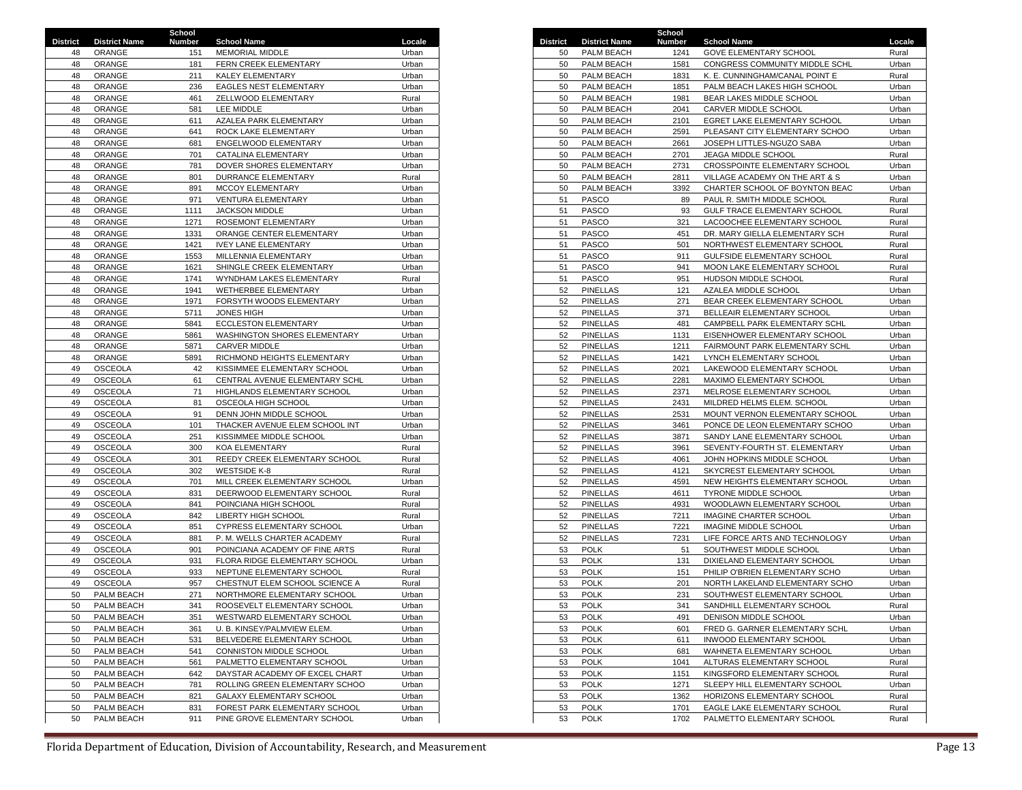|                 |                      | School |                                |        |                 |                      | School |                                |        |
|-----------------|----------------------|--------|--------------------------------|--------|-----------------|----------------------|--------|--------------------------------|--------|
| <b>District</b> | <b>District Name</b> | Number | <b>School Name</b>             | Locale | <b>District</b> | <b>District Name</b> | Number | <b>School Name</b>             | Locale |
| 48              | ORANGE               | 151    | MEMORIAL MIDDLE                | Urban  | 50              | PALM BEACH           | 1241   | <b>GOVE ELEMENTARY SCHOOL</b>  | Rural  |
| 48              | ORANGE               | 181    | FERN CREEK ELEMENTARY          | Urban  | 50              | PALM BEACH           | 1581   | CONGRESS COMMUNITY MIDDLE SCHL | Urban  |
| 48              | ORANGE               | 211    | KALEY ELEMENTARY               | Urban  | 50              | PALM BEACH           | 1831   | K. E. CUNNINGHAM/CANAL POINT E | Rural  |
| 48              | ORANGE               | 236    | <b>EAGLES NEST ELEMENTARY</b>  | Urban  | 50              | PALM BEACH           | 1851   | PALM BEACH LAKES HIGH SCHOOL   | Urban  |
| 48              | ORANGE               | 461    | ZELLWOOD ELEMENTARY            | Rural  | 50              | PALM BEACH           | 1981   | BEAR LAKES MIDDLE SCHOOL       | Urban  |
| 48              | ORANGE               | 581    | <b>LEE MIDDLE</b>              | Urban  | 50              | PALM BEACH           | 2041   | CARVER MIDDLE SCHOOL           | Urban  |
| 48              | ORANGE               | 611    | AZALEA PARK ELEMENTARY         | Urban  | 50              | PALM BEACH           | 2101   | EGRET LAKE ELEMENTARY SCHOOL   | Urban  |
|                 |                      |        |                                |        |                 |                      |        |                                |        |
| 48              | ORANGE               | 641    | ROCK LAKE ELEMENTARY           | Urban  | 50              | PALM BEACH           | 2591   | PLEASANT CITY ELEMENTARY SCHOO | Urban  |
| 48              | ORANGE               | 681    | ENGELWOOD ELEMENTARY           | Urban  | 50              | PALM BEACH           | 2661   | JOSEPH LITTLES-NGUZO SABA      | Urban  |
| 48              | ORANGE               | 701    | CATALINA ELEMENTARY            | Urban  | 50              | PALM BEACH           | 2701   | JEAGA MIDDLE SCHOOL            | Rural  |
| 48              | ORANGE               | 781    | DOVER SHORES ELEMENTARY        | Urban  | 50              | PALM BEACH           | 2731   | CROSSPOINTE ELEMENTARY SCHOOL  | Urban  |
| 48              | ORANGE               | 801    | <b>DURRANCE ELEMENTARY</b>     | Rural  | 50              | PALM BEACH           | 2811   | VILLAGE ACADEMY ON THE ART & S | Urban  |
| 48              | ORANGE               | 891    | <b>MCCOY ELEMENTARY</b>        | Urban  | 50              | PALM BEACH           | 3392   | CHARTER SCHOOL OF BOYNTON BEAC | Urban  |
| 48              | ORANGE               | 971    | <b>VENTURA ELEMENTARY</b>      | Urban  | 51              | PASCO                | 89     | PAUL R. SMITH MIDDLE SCHOOL    | Rural  |
| 48              | ORANGE               | 1111   | JACKSON MIDDLE                 | Urban  | 51              | PASCO                | 93     | GULF TRACE ELEMENTARY SCHOOL   | Rural  |
| 48              | ORANGE               | 1271   | ROSEMONT ELEMENTARY            | Urban  | 51              | PASCO                | 321    | LACOOCHEE ELEMENTARY SCHOOL    | Rural  |
| 48              | ORANGE               | 1331   | ORANGE CENTER ELEMENTARY       | Urban  | 51              | PASCO                | 451    | DR. MARY GIELLA ELEMENTARY SCH | Rural  |
| 48              | ORANGE               | 1421   | <b>IVEY LANE ELEMENTARY</b>    | Urban  | 51              | PASCO                | 501    | NORTHWEST ELEMENTARY SCHOOL    | Rural  |
| 48              | ORANGE               | 1553   | MILLENNIA ELEMENTARY           | Urban  | 51              | <b>PASCO</b>         | 911    | GULFSIDE ELEMENTARY SCHOOL     | Rural  |
| 48              | ORANGE               | 1621   | SHINGLE CREEK ELEMENTARY       | Urban  | 51              | PASCO                | 941    | MOON LAKE ELEMENTARY SCHOOL    | Rural  |
| 48              | ORANGE               | 1741   | WYNDHAM LAKES ELEMENTARY       | Rural  | 51              | PASCO                | 951    | HUDSON MIDDLE SCHOOL           | Rural  |
| 48              | ORANGE               | 1941   | WETHERBEE ELEMENTARY           | Urban  | 52              | <b>PINELLAS</b>      | 121    | AZALEA MIDDLE SCHOOL           | Urban  |
|                 |                      |        |                                |        |                 |                      |        |                                |        |
| 48              | ORANGE               | 1971   | FORSYTH WOODS ELEMENTARY       | Urban  | 52              | <b>PINELLAS</b>      | 271    | BEAR CREEK ELEMENTARY SCHOOL   | Urban  |
| 48              | ORANGE               | 5711   | <b>JONES HIGH</b>              | Urban  | 52              | <b>PINELLAS</b>      | 371    | BELLEAIR ELEMENTARY SCHOOL     | Urban  |
| 48              | ORANGE               | 5841   | <b>ECCLESTON ELEMENTARY</b>    | Urban  | 52              | <b>PINELLAS</b>      | 481    | CAMPBELL PARK ELEMENTARY SCHL  | Urban  |
| 48              | ORANGE               | 5861   | WASHINGTON SHORES ELEMENTARY   | Urban  | 52              | <b>PINELLAS</b>      | 1131   | EISENHOWER ELEMENTARY SCHOOL   | Urban  |
| 48              | ORANGE               | 5871   | <b>CARVER MIDDLE</b>           | Urban  | 52              | <b>PINELLAS</b>      | 1211   | FAIRMOUNT PARK ELEMENTARY SCHL | Urban  |
| 48              | ORANGE               | 5891   | RICHMOND HEIGHTS ELEMENTARY    | Urban  | 52              | <b>PINELLAS</b>      | 1421   | LYNCH ELEMENTARY SCHOOL        | Urban  |
| 49              | <b>OSCEOLA</b>       | 42     | KISSIMMEE ELEMENTARY SCHOOL    | Urban  | 52              | <b>PINELLAS</b>      | 2021   | LAKEWOOD ELEMENTARY SCHOOL     | Urban  |
| 49              | <b>OSCEOLA</b>       | 61     | CENTRAL AVENUE ELEMENTARY SCHL | Urban  | 52              | <b>PINELLAS</b>      | 2281   | MAXIMO ELEMENTARY SCHOOL       | Urban  |
| 49              | OSCEOLA              | 71     | HIGHLANDS ELEMENTARY SCHOOL    | Urban  | 52              | <b>PINELLAS</b>      | 2371   | MELROSE ELEMENTARY SCHOOL      | Urban  |
| 49              | <b>OSCEOLA</b>       | 81     | OSCEOLA HIGH SCHOOL            | Urban  | 52              | <b>PINELLAS</b>      | 2431   | MILDRED HELMS ELEM. SCHOOL     | Urban  |
| 49              | <b>OSCEOLA</b>       | 91     | DENN JOHN MIDDLE SCHOOL        | Urban  | 52              | <b>PINELLAS</b>      | 2531   | MOUNT VERNON ELEMENTARY SCHOOL | Urban  |
| 49              | <b>OSCEOLA</b>       | 101    | THACKER AVENUE ELEM SCHOOL INT | Urban  | 52              | <b>PINELLAS</b>      | 3461   | PONCE DE LEON ELEMENTARY SCHOO | Urban  |
| 49              | <b>OSCEOLA</b>       | 251    | KISSIMMEE MIDDLE SCHOOL        | Urban  | 52              | <b>PINELLAS</b>      | 3871   | SANDY LANE ELEMENTARY SCHOOL   | Urban  |
| 49              | OSCEOLA              | 300    | <b>KOA ELEMENTARY</b>          | Rural  | 52              | <b>PINELLAS</b>      | 3961   | SEVENTY-FOURTH ST. ELEMENTARY  | Urban  |
| 49              | <b>OSCEOLA</b>       | 301    | REEDY CREEK ELEMENTARY SCHOOL  | Rural  | 52              | <b>PINELLAS</b>      | 4061   | JOHN HOPKINS MIDDLE SCHOOL     | Urban  |
| 49              | <b>OSCEOLA</b>       | 302    | <b>WESTSIDE K-8</b>            | Rural  | 52              | <b>PINELLAS</b>      | 4121   | SKYCREST ELEMENTARY SCHOOL     | Urban  |
| 49              | <b>OSCEOLA</b>       | 701    | MILL CREEK ELEMENTARY SCHOOL   | Urban  | 52              | <b>PINELLAS</b>      | 4591   | NEW HEIGHTS ELEMENTARY SCHOOL  | Urban  |
| 49              | <b>OSCEOLA</b>       | 831    | DEERWOOD ELEMENTARY SCHOOL     | Rural  | 52              | <b>PINELLAS</b>      | 4611   | <b>TYRONE MIDDLE SCHOOL</b>    | Urban  |
|                 |                      |        |                                |        |                 |                      |        |                                |        |
| 49              | <b>OSCEOLA</b>       | 841    | POINCIANA HIGH SCHOOL          | Rural  | 52              | <b>PINELLAS</b>      | 4931   | WOODLAWN ELEMENTARY SCHOOL     | Urban  |
| 49              | <b>OSCEOLA</b>       | 842    | LIBERTY HIGH SCHOOL            | Rural  | 52              | <b>PINELLAS</b>      | 7211   | <b>IMAGINE CHARTER SCHOOL</b>  | Urban  |
| 49              | <b>OSCEOLA</b>       | 851    | CYPRESS ELEMENTARY SCHOOL      | Urban  | 52              | <b>PINELLAS</b>      | 7221   | IMAGINE MIDDLE SCHOOL          | Urban  |
| 49              | OSCEOLA              | 881    | P. M. WELLS CHARTER ACADEMY    | Rural  | 52              | <b>PINELLAS</b>      | 7231   | LIFE FORCE ARTS AND TECHNOLOGY | Urban  |
| 49              | <b>OSCEOLA</b>       | 901    | POINCIANA ACADEMY OF FINE ARTS | Rural  | 53              | <b>POLK</b>          | 51     | SOUTHWEST MIDDLE SCHOOL        | Urban  |
| 49              | <b>OSCEOLA</b>       | 931    | FLORA RIDGE ELEMENTARY SCHOOL  | Urban  | 53              | <b>POLK</b>          | 131    | DIXIELAND ELEMENTARY SCHOOL    | Urban  |
| 49              | <b>OSCEOLA</b>       | 933    | NEPTUNE ELEMENTARY SCHOOL      | Rural  | 53              | <b>POLK</b>          | 151    | PHILIP O'BRIEN ELEMENTARY SCHO | Urban  |
| 49              | <b>OSCEOLA</b>       | 957    | CHESTNUT ELEM SCHOOL SCIENCE A | Rural  | 53              | <b>POLK</b>          | 201    | NORTH LAKELAND ELEMENTARY SCHO | Urban  |
| 50              | PALM BEACH           | 271    | NORTHMORE ELEMENTARY SCHOOL    | Urban  | 53              | <b>POLK</b>          | 231    | SOUTHWEST ELEMENTARY SCHOOL    | Urban  |
| 50              | PALM BEACH           | 341    | ROOSEVELT ELEMENTARY SCHOOL    | Urban  | 53              | <b>POLK</b>          | 341    | SANDHILL ELEMENTARY SCHOOL     | Rural  |
| 50              | PALM BEACH           | 351    | WESTWARD ELEMENTARY SCHOOL     | Urban  | 53              | <b>POLK</b>          | 491    | DENISON MIDDLE SCHOOL          | Urban  |
| 50              | PALM BEACH           | 361    | U. B. KINSEY/PALMVIEW ELEM.    | Urban  | 53              | <b>POLK</b>          | 601    | FRED G. GARNER ELEMENTARY SCHL | Urban  |
| 50              | PALM BEACH           | 531    | BELVEDERE ELEMENTARY SCHOOL    | Urban  | 53              | <b>POLK</b>          | 611    | INWOOD ELEMENTARY SCHOOL       | Urban  |
| 50              | PALM BEACH           | 541    | CONNISTON MIDDLE SCHOOL        | Urban  | 53              | <b>POLK</b>          | 681    | WAHNETA ELEMENTARY SCHOOL      | Urban  |
| 50              | PALM BEACH           | 561    | PALMETTO ELEMENTARY SCHOOL     | Urban  | 53              | <b>POLK</b>          | 1041   | ALTURAS ELEMENTARY SCHOOL      | Rural  |
| 50              | PALM BEACH           | 642    | DAYSTAR ACADEMY OF EXCEL CHART | Urban  |                 | <b>POLK</b>          | 1151   | KINGSFORD ELEMENTARY SCHOOL    | Rural  |
|                 |                      |        |                                |        | 53              |                      |        |                                |        |
| 50              | PALM BEACH           | 781    | ROLLING GREEN ELEMENTARY SCHOO | Urban  | 53              | <b>POLK</b>          | 1271   | SLEEPY HILL ELEMENTARY SCHOOL  | Urban  |
| 50              | PALM BEACH           | 821    | GALAXY ELEMENTARY SCHOOL       | Urban  | 53              | <b>POLK</b>          | 1362   | HORIZONS ELEMENTARY SCHOOL     | Rural  |
| 50              | PALM BEACH           | 831    | FOREST PARK ELEMENTARY SCHOOL  | Urban  | 53              | <b>POLK</b>          | 1701   | EAGLE LAKE ELEMENTARY SCHOOL   | Rural  |
| 50              | PALM BEACH           | 911    | PINE GROVE ELEMENTARY SCHOOL   | Urban  | 53              | <b>POLK</b>          | 1702   | PALMETTO ELEMENTARY SCHOOL     | Rural  |

| ct | <b>District Name</b> | ocnoor<br><b>Number</b> | <b>School Name</b>             | Locale |
|----|----------------------|-------------------------|--------------------------------|--------|
| 48 | ORANGE               | 151                     | MEMORIAL MIDDLE                | Urban  |
|    |                      |                         |                                |        |
| 48 | ORANGE               | 181                     | FERN CREEK ELEMENTARY          | Urban  |
| 48 | ORANGE               | 211                     | KALEY ELEMENTARY               | Urban  |
| 48 | ORANGE               | 236                     | EAGLES NEST ELEMENTARY         | Urban  |
| 48 | ORANGE               | 461                     | ZELLWOOD ELEMENTARY            | Rural  |
| 48 | ORANGE               | 581                     | LEE MIDDLE                     | Urban  |
| 48 | ORANGE               | 611                     | AZALEA PARK ELEMENTARY         | Urban  |
| 48 | ORANGE               | 641                     | ROCK LAKE ELEMENTARY           | Urban  |
| 48 | ORANGE               | 681                     | ENGELWOOD ELEMENTARY           | Urban  |
| 48 | ORANGE               | 701                     | CATALINA ELEMENTARY            | Urban  |
| 48 | ORANGE               | 781                     | DOVER SHORES ELEMENTARY        | Urban  |
|    | ORANGE               | 801                     |                                | Rural  |
| 48 |                      |                         | DURRANCE ELEMENTARY            |        |
| 48 | ORANGE               | 891                     | MCCOY ELEMENTARY               | Urban  |
| 48 | ORANGE               | 971                     | VENTURA ELEMENTARY             | Urban  |
| 48 | ORANGE               | 1111                    | <b>JACKSON MIDDLE</b>          | Urban  |
| 48 | ORANGE               | 1271                    | ROSEMONT ELEMENTARY            | Urban  |
| 48 | ORANGE               | 1331                    | ORANGE CENTER ELEMENTARY       | Urban  |
| 48 | ORANGE               | 1421                    | <b>IVEY LANE ELEMENTARY</b>    | Urban  |
| 48 | ORANGE               | 1553                    | MILLENNIA ELEMENTARY           | Urban  |
| 48 | ORANGE               | 1621                    | SHINGLE CREEK ELEMENTARY       | Urban  |
| 48 | ORANGE               | 1741                    | WYNDHAM LAKES ELEMENTARY       | Rural  |
|    |                      |                         |                                |        |
| 48 | ORANGE               | 1941                    | WETHERBEE ELEMENTARY           | Urban  |
| 48 | ORANGE               | 1971                    | FORSYTH WOODS ELEMENTARY       | Urban  |
| 48 | ORANGE               | 5711                    | <b>JONES HIGH</b>              | Urban  |
| 48 | ORANGE               | 5841                    | <b>ECCLESTON ELEMENTARY</b>    | Urban  |
| 48 | ORANGE               | 5861                    | WASHINGTON SHORES ELEMENTARY   | Urban  |
| 48 | ORANGE               | 5871                    | CARVER MIDDLE                  | Urban  |
| 48 | ORANGE               | 5891                    | RICHMOND HEIGHTS ELEMENTARY    | Urban  |
| 49 | <b>OSCEOLA</b>       | 42                      | KISSIMMEE ELEMENTARY SCHOOL    | Urban  |
| 49 | OSCEOLA              | 61                      | CENTRAL AVENUE ELEMENTARY SCHL | Urban  |
| 49 | <b>OSCEOLA</b>       | 71                      | HIGHLANDS ELEMENTARY SCHOOL    | Urban  |
|    |                      |                         |                                |        |
| 49 | <b>OSCEOLA</b>       | 81                      | OSCEOLA HIGH SCHOOL            | Urban  |
| 49 | <b>OSCEOLA</b>       | 91                      | DENN JOHN MIDDLE SCHOOL        | Urban  |
| 49 | <b>OSCEOLA</b>       | 101                     | THACKER AVENUE ELEM SCHOOL INT | Urban  |
| 49 | <b>OSCEOLA</b>       | 251                     | KISSIMMEE MIDDLE SCHOOL        | Urban  |
| 49 | <b>OSCEOLA</b>       | 300                     | <b>KOA ELEMENTARY</b>          | Rural  |
| 49 | <b>OSCEOLA</b>       | 301                     | REEDY CREEK ELEMENTARY SCHOOL  | Rural  |
| 49 | <b>OSCEOLA</b>       | 302                     | <b>WESTSIDE K-8</b>            | Rural  |
| 49 | <b>OSCEOLA</b>       | 701                     | MILL CREEK ELEMENTARY SCHOOL   | Urban  |
| 49 | <b>OSCEOLA</b>       | 831                     | DEERWOOD ELEMENTARY SCHOOL     | Rural  |
|    | <b>OSCEOLA</b>       |                         |                                |        |
| 49 |                      | 841                     | POINCIANA HIGH SCHOOL          | Rural  |
| 49 | <b>OSCEOLA</b>       | 842                     | <b>LIBERTY HIGH SCHOOL</b>     | Rural  |
| 49 | <b>OSCEOLA</b>       | 851                     | CYPRESS ELEMENTARY SCHOOL      | Urban  |
| 49 | <b>OSCEOLA</b>       | 881                     | P. M. WELLS CHARTER ACADEMY    | Rural  |
| 49 | <b>OSCEOLA</b>       | 901                     | POINCIANA ACADEMY OF FINE ARTS | Rural  |
| 49 | <b>OSCEOLA</b>       | 931                     | FLORA RIDGE ELEMENTARY SCHOOL  | Urban  |
| 49 | <b>OSCEOLA</b>       | 933                     | NEPTUNE ELEMENTARY SCHOOL      | Rural  |
| 49 | <b>OSCEOLA</b>       | 957                     | CHESTNUT ELEM SCHOOL SCIENCE A | Rural  |
| 50 | PALM BEACH           | 271                     | NORTHMORE ELEMENTARY SCHOOL    | Urban  |
| 50 | PALM BEACH           | 341                     | ROOSEVELT ELEMENTARY SCHOOL    | Urban  |
|    |                      |                         |                                |        |
| 50 | PALM BEACH           | 351                     | WESTWARD ELEMENTARY SCHOOL     | Urban  |
| 50 | PALM BEACH           | 361                     | U. B. KINSEY/PALMVIEW ELEM.    | Urban  |
| 50 | PALM BEACH           | 531                     | BELVEDERE ELEMENTARY SCHOOL    | Urban  |
| 50 | PALM BEACH           | 541                     | CONNISTON MIDDLE SCHOOL        | Urban  |
| 50 | <b>PALM BEACH</b>    | 561                     | PALMETTO ELEMENTARY SCHOOL     | Urban  |
| 50 | PALM BEACH           | 642                     | DAYSTAR ACADEMY OF EXCEL CHART | Urban  |
| 50 | PALM BEACH           | 781                     | ROLLING GREEN ELEMENTARY SCHOO | Urban  |
| 50 | PALM BEACH           | 821                     | GALAXY ELEMENTARY SCHOOL       | Urban  |
| 50 | <b>PALM BEACH</b>    | 831                     | FOREST PARK ELEMENTARY SCHOOL  | Urban  |
|    |                      |                         |                                |        |
| 50 | PALM BEACH           | 911                     | PINE GROVE ELEMENTARY SCHOOL   | Urban  |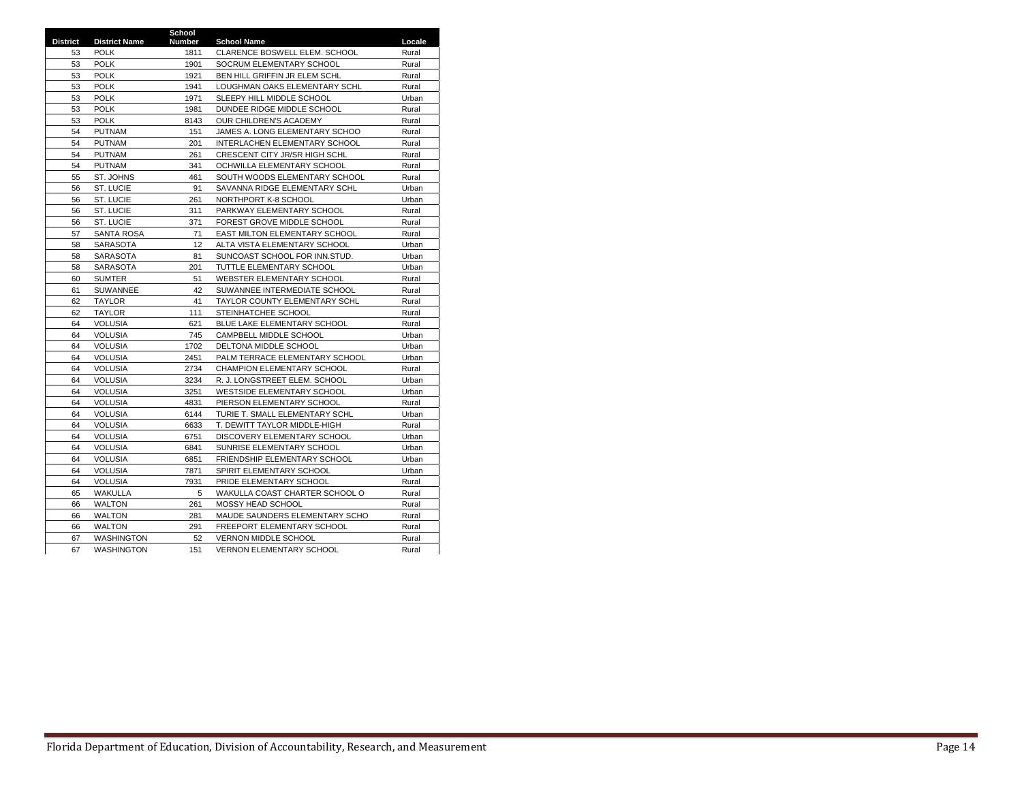|                 |                      | School        |                                 |        |
|-----------------|----------------------|---------------|---------------------------------|--------|
| <b>District</b> | <b>District Name</b> | <b>Number</b> | <b>School Name</b>              | Locale |
| 53              | <b>POLK</b>          | 1811          | CLARENCE BOSWELL ELEM. SCHOOL   | Rural  |
| 53              | <b>POLK</b>          | 1901          | SOCRUM ELEMENTARY SCHOOL        | Rural  |
| 53              | <b>POLK</b>          | 1921          | BEN HILL GRIFFIN JR ELEM SCHL   | Rural  |
| 53              | <b>POLK</b>          | 1941          | LOUGHMAN OAKS ELEMENTARY SCHL   | Rural  |
| 53              | <b>POLK</b>          | 1971          | SLEEPY HILL MIDDLE SCHOOL       | Urban  |
| 53              | <b>POLK</b>          | 1981          | DUNDEE RIDGE MIDDLE SCHOOL      | Rural  |
| 53              | <b>POLK</b>          | 8143          | OUR CHILDREN'S ACADEMY          | Rural  |
| 54              | <b>PUTNAM</b>        | 151           | JAMES A. LONG ELEMENTARY SCHOO  | Rural  |
| 54              | <b>PUTNAM</b>        | 201           | INTERLACHEN ELEMENTARY SCHOOL   | Rural  |
| 54              | <b>PUTNAM</b>        | 261           | CRESCENT CITY JR/SR HIGH SCHL   | Rural  |
| 54              | <b>PUTNAM</b>        | 341           | OCHWILLA ELEMENTARY SCHOOL      | Rural  |
| 55              | ST. JOHNS            | 461           | SOUTH WOODS ELEMENTARY SCHOOL   | Rural  |
| 56              | ST. LUCIE            | 91            | SAVANNA RIDGE ELEMENTARY SCHL   | Urban  |
| 56              | ST. LUCIE            | 261           | NORTHPORT K-8 SCHOOL            | Urban  |
| 56              | ST. LUCIE            | 311           | PARKWAY ELEMENTARY SCHOOL       | Rural  |
| 56              | ST. LUCIE            | 371           | FOREST GROVE MIDDLE SCHOOL      | Rural  |
| 57              | SANTA ROSA           | 71            | EAST MILTON ELEMENTARY SCHOOL   | Rural  |
| 58              | <b>SARASOTA</b>      | 12            | ALTA VISTA ELEMENTARY SCHOOL    | Urban  |
| 58              | <b>SARASOTA</b>      | 81            | SUNCOAST SCHOOL FOR INN.STUD.   | Urban  |
| 58              | <b>SARASOTA</b>      | 201           | TUTTLE ELEMENTARY SCHOOL        | Urban  |
| 60              | <b>SUMTER</b>        | 51            | WEBSTER ELEMENTARY SCHOOL       | Rural  |
| 61              | SUWANNEE             | 42            | SUWANNEE INTERMEDIATE SCHOOL    | Rural  |
| 62              | <b>TAYLOR</b>        | 41            | TAYLOR COUNTY ELEMENTARY SCHL   | Rural  |
| 62              | <b>TAYLOR</b>        | 111           | STEINHATCHEE SCHOOL             | Rural  |
| 64              | <b>VOLUSIA</b>       | 621           | BLUE LAKE ELEMENTARY SCHOOL     | Rural  |
| 64              | <b>VOLUSIA</b>       | 745           | CAMPBELL MIDDLE SCHOOL          | Urban  |
| 64              | <b>VOLUSIA</b>       | 1702          | DELTONA MIDDLE SCHOOL           | Urban  |
| 64              | <b>VOLUSIA</b>       | 2451          | PALM TERRACE ELEMENTARY SCHOOL  | Urban  |
| 64              | <b>VOLUSIA</b>       | 2734          | CHAMPION ELEMENTARY SCHOOL      | Rural  |
| 64              | <b>VOLUSIA</b>       | 3234          | R. J. LONGSTREET ELEM. SCHOOL   | Urban  |
| 64              | <b>VOLUSIA</b>       | 3251          | WESTSIDE ELEMENTARY SCHOOL      | Urban  |
| 64              | <b>VOLUSIA</b>       | 4831          | PIERSON ELEMENTARY SCHOOL       | Rural  |
| 64              | <b>VOLUSIA</b>       | 6144          | TURIE T. SMALL ELEMENTARY SCHL  | Urban  |
| 64              | <b>VOLUSIA</b>       | 6633          | T. DEWITT TAYLOR MIDDLE-HIGH    | Rural  |
| 64              | <b>VOLUSIA</b>       | 6751          | DISCOVERY ELEMENTARY SCHOOL     | Urban  |
| 64              | <b>VOLUSIA</b>       | 6841          | SUNRISE ELEMENTARY SCHOOL       | Urban  |
| 64              | <b>VOLUSIA</b>       | 6851          | FRIENDSHIP ELEMENTARY SCHOOL    | Urban  |
| 64              | <b>VOLUSIA</b>       | 7871          | SPIRIT ELEMENTARY SCHOOL        | Urban  |
| 64              | <b>VOLUSIA</b>       | 7931          | PRIDE ELEMENTARY SCHOOL         | Rural  |
| 65              | WAKULLA              | 5             | WAKULLA COAST CHARTER SCHOOL O  | Rural  |
| 66              | <b>WALTON</b>        | 261           | MOSSY HEAD SCHOOL               | Rural  |
| 66              | <b>WALTON</b>        | 281           | MAUDE SAUNDERS ELEMENTARY SCHO  | Rural  |
| 66              | <b>WALTON</b>        | 291           | FREEPORT ELEMENTARY SCHOOL      | Rural  |
| 67              | <b>WASHINGTON</b>    | 52            | VERNON MIDDLE SCHOOL            | Rural  |
| 67              | <b>WASHINGTON</b>    | 151           | <b>VERNON ELEMENTARY SCHOOL</b> | Rural  |